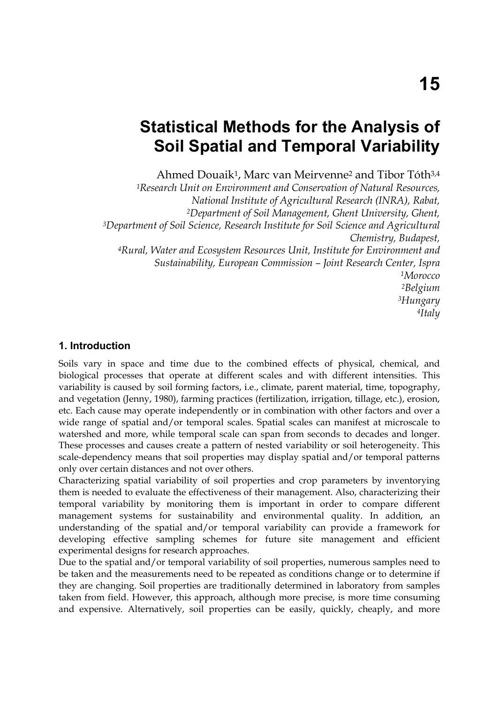# **Statistical Methods for the Analysis of Soil Spatial and Temporal Variability**

Ahmed Douaik<sup>1</sup>, Marc van Meirvenne<sup>2</sup> and Tibor Tóth<sup>3,4</sup>

*1Research Unit on Environment and Conservation of Natural Resources, National Institute of Agricultural Research (INRA), Rabat, 2Department of Soil Management, Ghent University, Ghent, 3Department of Soil Science, Research Institute for Soil Science and Agricultural Chemistry, Budapest, 4Rural, Water and Ecosystem Resources Unit, Institute for Environment and Sustainability, European Commission – Joint Research Center, Ispra 1Morocco 2Belgium 3Hungary 4Italy* 

## **1. Introduction**

Soils vary in space and time due to the combined effects of physical, chemical, and biological processes that operate at different scales and with different intensities. This variability is caused by soil forming factors, i.e., climate, parent material, time, topography, and vegetation (Jenny, 1980), farming practices (fertilization, irrigation, tillage, etc.), erosion, etc. Each cause may operate independently or in combination with other factors and over a wide range of spatial and/or temporal scales. Spatial scales can manifest at microscale to watershed and more, while temporal scale can span from seconds to decades and longer. These processes and causes create a pattern of nested variability or soil heterogeneity. This scale-dependency means that soil properties may display spatial and/or temporal patterns only over certain distances and not over others.

Characterizing spatial variability of soil properties and crop parameters by inventorying them is needed to evaluate the effectiveness of their management. Also, characterizing their temporal variability by monitoring them is important in order to compare different management systems for sustainability and environmental quality. In addition, an understanding of the spatial and/or temporal variability can provide a framework for developing effective sampling schemes for future site management and efficient experimental designs for research approaches.

Due to the spatial and/or temporal variability of soil properties, numerous samples need to be taken and the measurements need to be repeated as conditions change or to determine if they are changing. Soil properties are traditionally determined in laboratory from samples taken from field. However, this approach, although more precise, is more time consuming and expensive. Alternatively, soil properties can be easily, quickly, cheaply, and more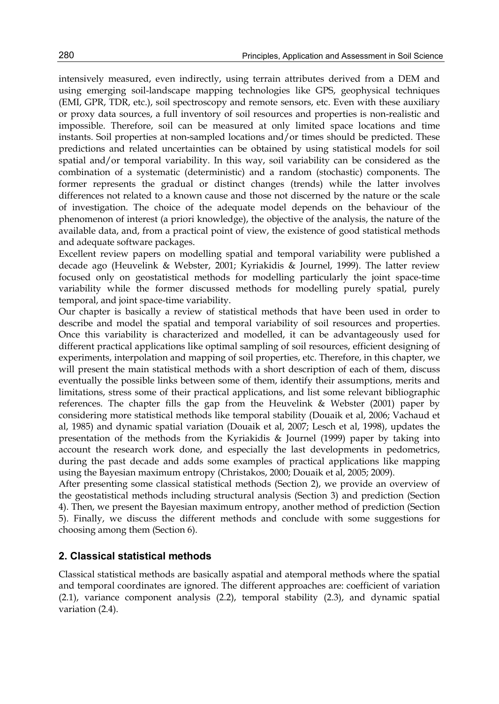intensively measured, even indirectly, using terrain attributes derived from a DEM and using emerging soil-landscape mapping technologies like GPS, geophysical techniques (EMI, GPR, TDR, etc.), soil spectroscopy and remote sensors, etc. Even with these auxiliary or proxy data sources, a full inventory of soil resources and properties is non-realistic and impossible. Therefore, soil can be measured at only limited space locations and time instants. Soil properties at non-sampled locations and/or times should be predicted. These predictions and related uncertainties can be obtained by using statistical models for soil spatial and/or temporal variability. In this way, soil variability can be considered as the combination of a systematic (deterministic) and a random (stochastic) components. The former represents the gradual or distinct changes (trends) while the latter involves differences not related to a known cause and those not discerned by the nature or the scale of investigation. The choice of the adequate model depends on the behaviour of the phenomenon of interest (a priori knowledge), the objective of the analysis, the nature of the available data, and, from a practical point of view, the existence of good statistical methods and adequate software packages.

Excellent review papers on modelling spatial and temporal variability were published a decade ago (Heuvelink & Webster, 2001; Kyriakidis & Journel, 1999). The latter review focused only on geostatistical methods for modelling particularly the joint space-time variability while the former discussed methods for modelling purely spatial, purely temporal, and joint space-time variability.

Our chapter is basically a review of statistical methods that have been used in order to describe and model the spatial and temporal variability of soil resources and properties. Once this variability is characterized and modelled, it can be advantageously used for different practical applications like optimal sampling of soil resources, efficient designing of experiments, interpolation and mapping of soil properties, etc. Therefore, in this chapter, we will present the main statistical methods with a short description of each of them, discuss eventually the possible links between some of them, identify their assumptions, merits and limitations, stress some of their practical applications, and list some relevant bibliographic references. The chapter fills the gap from the Heuvelink & Webster (2001) paper by considering more statistical methods like temporal stability (Douaik et al, 2006; Vachaud et al, 1985) and dynamic spatial variation (Douaik et al, 2007; Lesch et al, 1998), updates the presentation of the methods from the Kyriakidis & Journel (1999) paper by taking into account the research work done, and especially the last developments in pedometrics, during the past decade and adds some examples of practical applications like mapping using the Bayesian maximum entropy (Christakos, 2000; Douaik et al, 2005; 2009).

After presenting some classical statistical methods (Section 2), we provide an overview of the geostatistical methods including structural analysis (Section 3) and prediction (Section 4). Then, we present the Bayesian maximum entropy, another method of prediction (Section 5). Finally, we discuss the different methods and conclude with some suggestions for choosing among them (Section 6).

# **2. Classical statistical methods**

Classical statistical methods are basically aspatial and atemporal methods where the spatial and temporal coordinates are ignored. The different approaches are: coefficient of variation (2.1), variance component analysis (2.2), temporal stability (2.3), and dynamic spatial variation (2.4).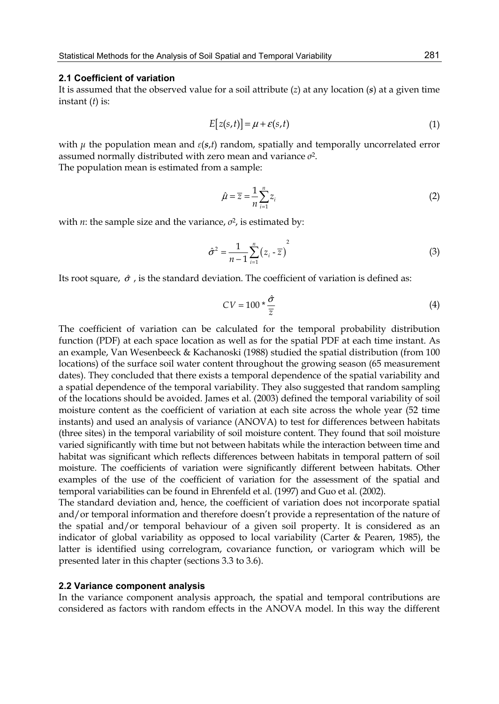## **2.1 Coefficient of variation**

It is assumed that the observed value for a soil attribute (*z*) at any location (*s*) at a given time instant (*t*) is:

$$
E[z(s,t)] = \mu + \varepsilon(s,t) \tag{1}
$$

with  $\mu$  the population mean and  $\varepsilon(s,t)$  random, spatially and temporally uncorrelated error assumed normally distributed with zero mean and variance *σ*2. The population mean is estimated from a sample:

$$
\hat{\mu} = \overline{z} = \frac{1}{n} \sum_{i=1}^{n} z_i
$$
\n(2)

with *n*: the sample size and the variance, *σ*2, is estimated by:

$$
\hat{\sigma}^2 = \frac{1}{n-1} \sum_{i=1}^n (z_i - \overline{z})^2
$$
 (3)

Its root square,  $\hat{\sigma}$ , is the standard deviation. The coefficient of variation is defined as:

$$
CV = 100 * \frac{\hat{\sigma}}{\bar{z}}
$$
 (4)

The coefficient of variation can be calculated for the temporal probability distribution function (PDF) at each space location as well as for the spatial PDF at each time instant. As an example, Van Wesenbeeck & Kachanoski (1988) studied the spatial distribution (from 100 locations) of the surface soil water content throughout the growing season (65 measurement dates). They concluded that there exists a temporal dependence of the spatial variability and a spatial dependence of the temporal variability. They also suggested that random sampling of the locations should be avoided. James et al. (2003) defined the temporal variability of soil moisture content as the coefficient of variation at each site across the whole year (52 time instants) and used an analysis of variance (ANOVA) to test for differences between habitats (three sites) in the temporal variability of soil moisture content. They found that soil moisture varied significantly with time but not between habitats while the interaction between time and habitat was significant which reflects differences between habitats in temporal pattern of soil moisture. The coefficients of variation were significantly different between habitats. Other examples of the use of the coefficient of variation for the assessment of the spatial and temporal variabilities can be found in Ehrenfeld et al. (1997) and Guo et al. (2002).

The standard deviation and, hence, the coefficient of variation does not incorporate spatial and/or temporal information and therefore doesn't provide a representation of the nature of the spatial and/or temporal behaviour of a given soil property. It is considered as an indicator of global variability as opposed to local variability (Carter & Pearen, 1985), the latter is identified using correlogram, covariance function, or variogram which will be presented later in this chapter (sections 3.3 to 3.6).

#### **2.2 Variance component analysis**

In the variance component analysis approach, the spatial and temporal contributions are considered as factors with random effects in the ANOVA model. In this way the different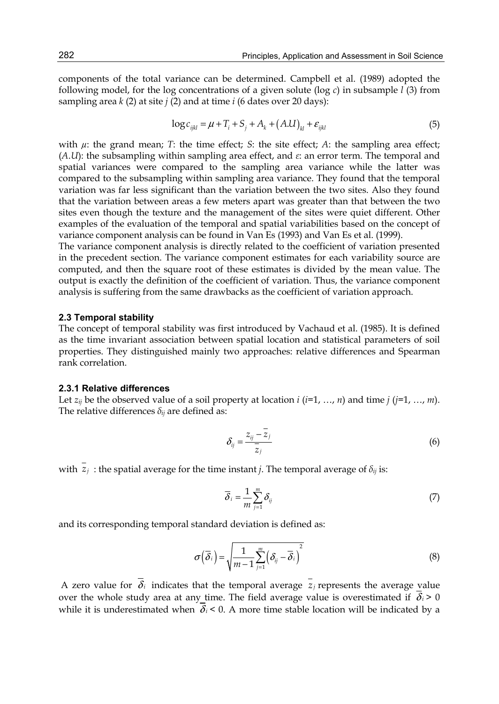components of the total variance can be determined. Campbell et al. (1989) adopted the following model, for the log concentrations of a given solute (log *c*) in subsample *l* (3) from sampling area *k* (2) at site *j* (2) and at time *i* (6 dates over 20 days):

$$
\log c_{ijkl} = \mu + T_i + S_j + A_k + (A.U)_{kl} + \varepsilon_{ijkl}
$$
\n<sup>(5)</sup>

with  $\mu$ : the grand mean; *T*: the time effect; *S*: the site effect; *A*: the sampling area effect; (*A*.*U*): the subsampling within sampling area effect, and *ε*: an error term. The temporal and spatial variances were compared to the sampling area variance while the latter was compared to the subsampling within sampling area variance. They found that the temporal variation was far less significant than the variation between the two sites. Also they found that the variation between areas a few meters apart was greater than that between the two sites even though the texture and the management of the sites were quiet different. Other examples of the evaluation of the temporal and spatial variabilities based on the concept of variance component analysis can be found in Van Es (1993) and Van Es et al. (1999).

The variance component analysis is directly related to the coefficient of variation presented in the precedent section. The variance component estimates for each variability source are computed, and then the square root of these estimates is divided by the mean value. The output is exactly the definition of the coefficient of variation. Thus, the variance component analysis is suffering from the same drawbacks as the coefficient of variation approach.

## **2.3 Temporal stability**

The concept of temporal stability was first introduced by Vachaud et al. (1985). It is defined as the time invariant association between spatial location and statistical parameters of soil properties. They distinguished mainly two approaches: relative differences and Spearman rank correlation.

#### **2.3.1 Relative differences**

Let  $z_{ij}$  be the observed value of a soil property at location *i* (*i*=1, …, *n*) and time *j* (*j*=1, …, *m*). The relative differences  $\delta_{ij}$  are defined as:

$$
\delta_{ij} = \frac{z_{ij} - \overline{z}_j}{\overline{z}_j} \tag{6}
$$

with  $\overline{z}_i$ : the spatial average for the time instant *j*. The temporal average of  $\delta_{ii}$  is:

$$
\overline{\delta}_i = \frac{1}{m} \sum_{j=1}^m \delta_{ij} \tag{7}
$$

and its corresponding temporal standard deviation is defined as:

$$
\sigma\left(\overline{\delta}_{i}\right) = \sqrt{\frac{1}{m-1} \sum_{j=1}^{m} \left(\delta_{ij} - \overline{\delta}_{i}\right)^{2}}
$$
\n(8)

A zero value for  $\delta_i$  indicates that the temporal average  $\overline{z}_i$  represents the average value over the whole study area at any time. The field average value is overestimated if  $\delta_i$  > 0 while it is underestimated when  $\delta_i$  < 0. A more time stable location will be indicated by a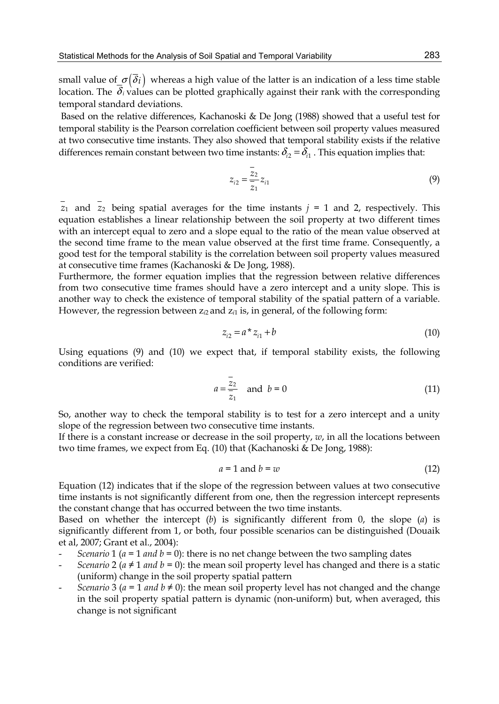small value of  $\sigma(\delta_i)$  whereas a high value of the latter is an indication of a less time stable location. The  $\delta_i$  values can be plotted graphically against their rank with the corresponding temporal standard deviations.

 Based on the relative differences, Kachanoski & De Jong (1988) showed that a useful test for temporal stability is the Pearson correlation coefficient between soil property values measured at two consecutive time instants. They also showed that temporal stability exists if the relative differences remain constant between two time instants:  $\delta_{i2} = \delta_{i1}$ . This equation implies that:

$$
z_{i2} = \frac{\bar{z}_2}{\bar{z}_1} z_{i1}
$$
 (9)

 $z_1$  and  $z_2$  being spatial averages for the time instants  $j = 1$  and 2, respectively. This equation establishes a linear relationship between the soil property at two different times with an intercept equal to zero and a slope equal to the ratio of the mean value observed at the second time frame to the mean value observed at the first time frame. Consequently, a good test for the temporal stability is the correlation between soil property values measured at consecutive time frames (Kachanoski & De Jong, 1988).

Furthermore, the former equation implies that the regression between relative differences from two consecutive time frames should have a zero intercept and a unity slope. This is another way to check the existence of temporal stability of the spatial pattern of a variable. However, the regression between z*i*2 and z*i*1 is, in general, of the following form:

$$
z_{i2} = a^* z_{i1} + b \tag{10}
$$

Using equations (9) and (10) we expect that, if temporal stability exists, the following conditions are verified:

$$
a = \frac{z_2}{z_1} \text{ and } b = 0 \tag{11}
$$

So, another way to check the temporal stability is to test for a zero intercept and a unity slope of the regression between two consecutive time instants.

If there is a constant increase or decrease in the soil property, *w*, in all the locations between two time frames, we expect from Eq. (10) that (Kachanoski & De Jong, 1988):

$$
a = 1 \text{ and } b = w \tag{12}
$$

Equation (12) indicates that if the slope of the regression between values at two consecutive time instants is not significantly different from one, then the regression intercept represents the constant change that has occurred between the two time instants.

Based on whether the intercept (*b*) is significantly different from 0, the slope (*a*) is significantly different from 1, or both, four possible scenarios can be distinguished (Douaik et al, 2007; Grant et al., 2004):

- *Scenario* 1 ( $a = 1$  *and*  $b = 0$ ): there is no net change between the two sampling dates
- *Scenario* 2 ( $a \neq 1$  *and*  $b = 0$ ): the mean soil property level has changed and there is a static (uniform) change in the soil property spatial pattern
- *Scenario* 3 ( $a = 1$  *and*  $b \neq 0$ ): the mean soil property level has not changed and the change in the soil property spatial pattern is dynamic (non-uniform) but, when averaged, this change is not significant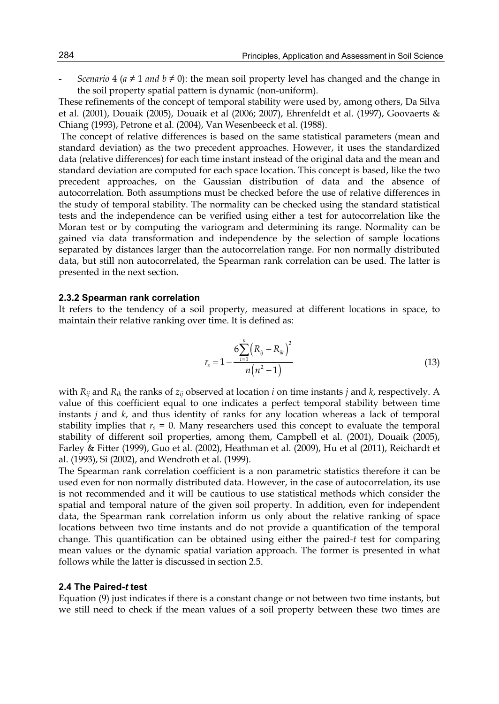*Scenario* 4 ( $a \ne 1$  *and*  $b \ne 0$ ): the mean soil property level has changed and the change in the soil property spatial pattern is dynamic (non-uniform).

These refinements of the concept of temporal stability were used by, among others, Da Silva et al. (2001), Douaik (2005), Douaik et al (2006; 2007), Ehrenfeldt et al. (1997), Goovaerts & Chiang (1993), Petrone et al. (2004), Van Wesenbeeck et al. (1988).

 The concept of relative differences is based on the same statistical parameters (mean and standard deviation) as the two precedent approaches. However, it uses the standardized data (relative differences) for each time instant instead of the original data and the mean and standard deviation are computed for each space location. This concept is based, like the two precedent approaches, on the Gaussian distribution of data and the absence of autocorrelation. Both assumptions must be checked before the use of relative differences in the study of temporal stability. The normality can be checked using the standard statistical tests and the independence can be verified using either a test for autocorrelation like the Moran test or by computing the variogram and determining its range. Normality can be gained via data transformation and independence by the selection of sample locations separated by distances larger than the autocorrelation range. For non normally distributed data, but still non autocorrelated, the Spearman rank correlation can be used. The latter is presented in the next section.

#### **2.3.2 Spearman rank correlation**

It refers to the tendency of a soil property, measured at different locations in space, to maintain their relative ranking over time. It is defined as:

$$
r_{s} = 1 - \frac{6\sum_{i=1}^{n} (R_{ij} - R_{ik})^{2}}{n(n^{2} - 1)}
$$
(13)

with *Rij* and *Rik* the ranks of *zij* observed at location *i* on time instants *j* and *k*, respectively. A value of this coefficient equal to one indicates a perfect temporal stability between time instants *j* and *k*, and thus identity of ranks for any location whereas a lack of temporal stability implies that  $r_s = 0$ . Many researchers used this concept to evaluate the temporal stability of different soil properties, among them, Campbell et al. (2001), Douaik (2005), Farley & Fitter (1999), Guo et al. (2002), Heathman et al. (2009), Hu et al (2011), Reichardt et al. (1993), Si (2002), and Wendroth et al. (1999).

The Spearman rank correlation coefficient is a non parametric statistics therefore it can be used even for non normally distributed data. However, in the case of autocorrelation, its use is not recommended and it will be cautious to use statistical methods which consider the spatial and temporal nature of the given soil property. In addition, even for independent data, the Spearman rank correlation inform us only about the relative ranking of space locations between two time instants and do not provide a quantification of the temporal change. This quantification can be obtained using either the paired-*t* test for comparing mean values or the dynamic spatial variation approach. The former is presented in what follows while the latter is discussed in section 2.5.

### **2.4 The Paired-***t* **test**

Equation (9) just indicates if there is a constant change or not between two time instants, but we still need to check if the mean values of a soil property between these two times are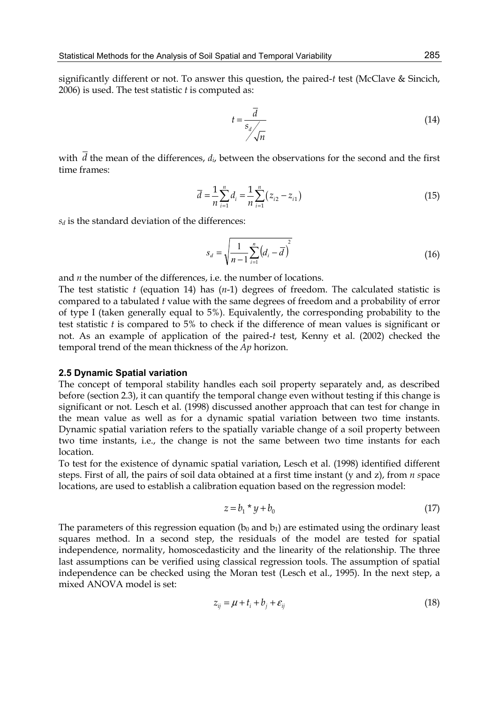significantly different or not. To answer this question, the paired-*t* test (McClave & Sincich, 2006) is used. The test statistic *t* is computed as:

$$
t = \frac{\overline{d}}{s_d \sqrt{n}}\tag{14}
$$

with  $\overline{d}$  the mean of the differences,  $d_i$ , between the observations for the second and the first time frames:

$$
\overline{d} = \frac{1}{n} \sum_{i=1}^{n} d_i = \frac{1}{n} \sum_{i=1}^{n} (z_{i2} - z_{i1})
$$
\n(15)

 $s_d$  is the standard deviation of the differences:

$$
s_d = \sqrt{\frac{1}{n-1} \sum_{i=1}^{n} (d_i - \overline{d})^2}
$$
 (16)

and *n* the number of the differences, i.e. the number of locations.

The test statistic *t* (equation 14) has (*n*-1) degrees of freedom. The calculated statistic is compared to a tabulated *t* value with the same degrees of freedom and a probability of error of type I (taken generally equal to 5%). Equivalently, the corresponding probability to the test statistic *t* is compared to 5% to check if the difference of mean values is significant or not. As an example of application of the paired-*t* test, Kenny et al. (2002) checked the temporal trend of the mean thickness of the *Ap* horizon.

#### **2.5 Dynamic Spatial variation**

The concept of temporal stability handles each soil property separately and, as described before (section 2.3), it can quantify the temporal change even without testing if this change is significant or not. Lesch et al. (1998) discussed another approach that can test for change in the mean value as well as for a dynamic spatial variation between two time instants. Dynamic spatial variation refers to the spatially variable change of a soil property between two time instants, i.e., the change is not the same between two time instants for each location.

To test for the existence of dynamic spatial variation, Lesch et al. (1998) identified different steps. First of all, the pairs of soil data obtained at a first time instant (y and z), from *n s*pace locations, are used to establish a calibration equation based on the regression model:

$$
z = b_1 * y + b_0 \tag{17}
$$

The parameters of this regression equation ( $b_0$  and  $b_1$ ) are estimated using the ordinary least squares method. In a second step, the residuals of the model are tested for spatial independence, normality, homoscedasticity and the linearity of the relationship. The three last assumptions can be verified using classical regression tools. The assumption of spatial independence can be checked using the Moran test (Lesch et al., 1995). In the next step, a mixed ANOVA model is set:

$$
z_{ij} = \mu + t_i + b_j + \varepsilon_{ij}
$$
 (18)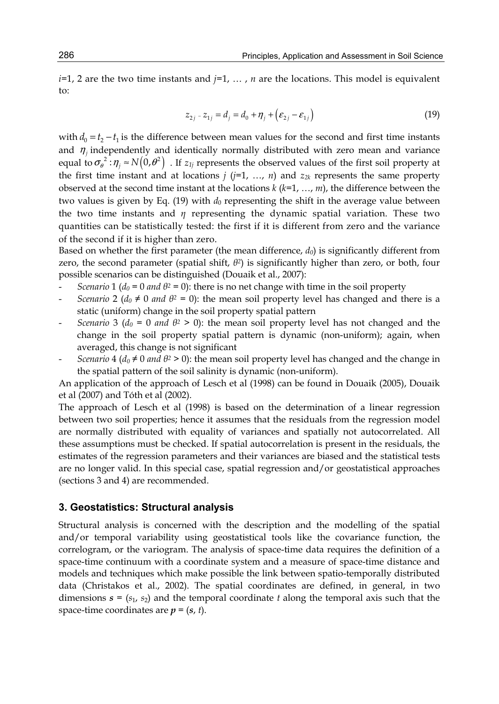*i*=1, 2 are the two time instants and *j*=1, … , *n* are the locations. This model is equivalent to:

$$
z_{2j} - z_{1j} = d_j = d_0 + \eta_j + (\varepsilon_{2j} - \varepsilon_{1j})
$$
\n(19)

with  $d_0 = t_2 - t_1$  is the difference between mean values for the second and first time instants and  $\eta$ <sub>*j*</sub> independently and identically normally distributed with zero mean and variance equal to  $\sigma_{\theta}^2$ :  $\eta_i \approx N(0, \theta^2)$ . If  $z_{1i}$  represents the observed values of the first soil property at the first time instant and at locations  $j$  ( $j=1, ..., n$ ) and  $z_{2k}$  represents the same property observed at the second time instant at the locations *k* (*k*=1, …, *m*), the difference between the two values is given by Eq. (19) with  $d_0$  representing the shift in the average value between the two time instants and *η* representing the dynamic spatial variation. These two quantities can be statistically tested: the first if it is different from zero and the variance of the second if it is higher than zero.

Based on whether the first parameter (the mean difference, *d0*) is significantly different from zero, the second parameter (spatial shift, *θ2*) is significantly higher than zero, or both, four possible scenarios can be distinguished (Douaik et al., 2007):

- *Scenario* 1 ( $d_0$  = 0 *and*  $\theta$ <sup>2</sup> = 0): there is no net change with time in the soil property
- *Scenario* 2 ( $d_0 \neq 0$  *and*  $\theta^2 = 0$ ): the mean soil property level has changed and there is a static (uniform) change in the soil property spatial pattern
- *Scenario* 3 ( $d_0 = 0$  *and*  $\theta^2 > 0$ ): the mean soil property level has not changed and the change in the soil property spatial pattern is dynamic (non-uniform); again, when averaged, this change is not significant
- *Scenario* 4 ( $d_0 \neq 0$  *and*  $\theta^2 > 0$ ): the mean soil property level has changed and the change in the spatial pattern of the soil salinity is dynamic (non-uniform).

An application of the approach of Lesch et al (1998) can be found in Douaik (2005), Douaik et al (2007) and Tóth et al (2002).

The approach of Lesch et al (1998) is based on the determination of a linear regression between two soil properties; hence it assumes that the residuals from the regression model are normally distributed with equality of variances and spatially not autocorrelated. All these assumptions must be checked. If spatial autocorrelation is present in the residuals, the estimates of the regression parameters and their variances are biased and the statistical tests are no longer valid. In this special case, spatial regression and/or geostatistical approaches (sections 3 and 4) are recommended.

## **3. Geostatistics: Structural analysis**

Structural analysis is concerned with the description and the modelling of the spatial and/or temporal variability using geostatistical tools like the covariance function, the correlogram, or the variogram. The analysis of space-time data requires the definition of a space-time continuum with a coordinate system and a measure of space-time distance and models and techniques which make possible the link between spatio-temporally distributed data (Christakos et al., 2002). The spatial coordinates are defined, in general, in two dimensions  $s = (s_1, s_2)$  and the temporal coordinate *t* along the temporal axis such that the space-time coordinates are  $p = (s, t)$ .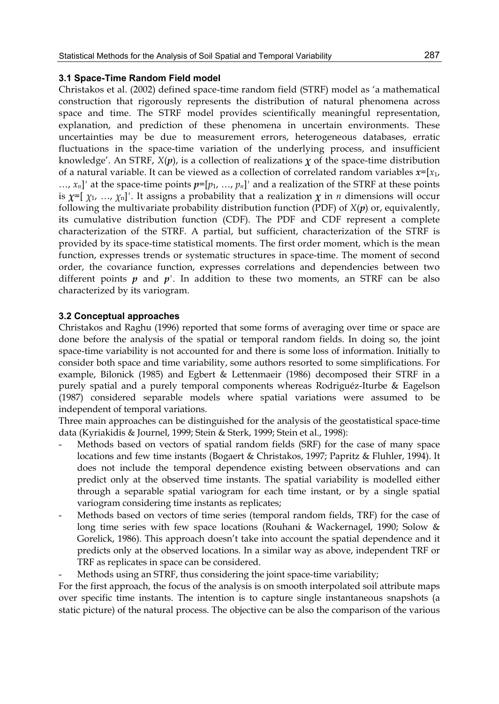## **3.1 Space-Time Random Field model**

Christakos et al. (2002) defined space-time random field (STRF) model as 'a mathematical construction that rigorously represents the distribution of natural phenomena across space and time. The STRF model provides scientifically meaningful representation, explanation, and prediction of these phenomena in uncertain environments. These uncertainties may be due to measurement errors, heterogeneous databases, erratic fluctuations in the space-time variation of the underlying process, and insufficient knowledge'. An STRF,  $X(p)$ , is a collection of realizations  $\chi$  of the space-time distribution of a natural variable. It can be viewed as a collection of correlated random variables *x*=[*x*1,  $\ldots$ ,  $x_n$ <sup> $\upharpoonright$ </sup> at the space-time points  $p=[p_1, \ldots, p_n]$ <sup>'</sup> and a realization of the STRF at these points is  $\chi = [\chi_1, \ldots, \chi_n]$ . It assigns a probability that a realization  $\chi$  in *n* dimensions will occur following the multivariate probability distribution function (PDF) of *X*(*p*) or, equivalently, its cumulative distribution function (CDF). The PDF and CDF represent a complete characterization of the STRF. A partial, but sufficient, characterization of the STRF is provided by its space-time statistical moments. The first order moment, which is the mean function, expresses trends or systematic structures in space-time. The moment of second order, the covariance function, expresses correlations and dependencies between two different points  $p$  and  $p'$ . In addition to these two moments, an STRF can be also characterized by its variogram.

## **3.2 Conceptual approaches**

Christakos and Raghu (1996) reported that some forms of averaging over time or space are done before the analysis of the spatial or temporal random fields. In doing so, the joint space-time variability is not accounted for and there is some loss of information. Initially to consider both space and time variability, some authors resorted to some simplifications. For example, Bilonick (1985) and Egbert & Lettenmaeir (1986) decomposed their STRF in a purely spatial and a purely temporal components whereas Rodriguéz-Iturbe & Eagelson (1987) considered separable models where spatial variations were assumed to be independent of temporal variations.

Three main approaches can be distinguished for the analysis of the geostatistical space-time data (Kyriakidis & Journel, 1999; Stein & Sterk, 1999; Stein et al., 1998):

- Methods based on vectors of spatial random fields (SRF) for the case of many space locations and few time instants (Bogaert & Christakos, 1997; Papritz & Fluhler, 1994). It does not include the temporal dependence existing between observations and can predict only at the observed time instants. The spatial variability is modelled either through a separable spatial variogram for each time instant, or by a single spatial variogram considering time instants as replicates;
- Methods based on vectors of time series (temporal random fields, TRF) for the case of long time series with few space locations (Rouhani & Wackernagel, 1990; Solow & Gorelick, 1986). This approach doesn't take into account the spatial dependence and it predicts only at the observed locations. In a similar way as above, independent TRF or TRF as replicates in space can be considered.
- Methods using an STRF, thus considering the joint space-time variability;

For the first approach, the focus of the analysis is on smooth interpolated soil attribute maps over specific time instants. The intention is to capture single instantaneous snapshots (a static picture) of the natural process. The objective can be also the comparison of the various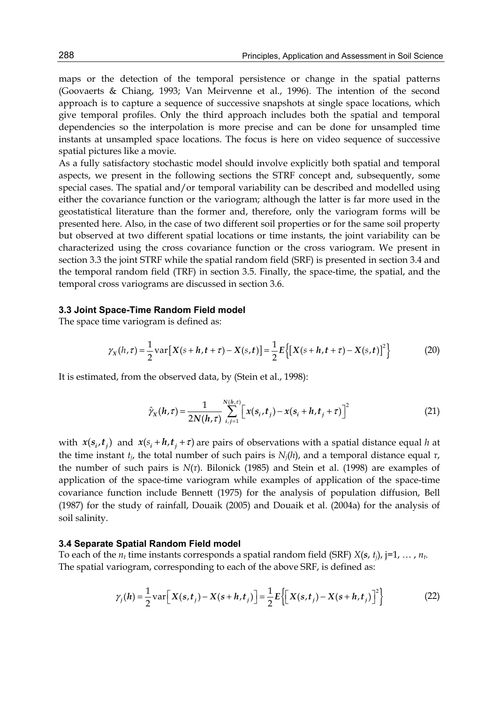maps or the detection of the temporal persistence or change in the spatial patterns (Goovaerts & Chiang, 1993; Van Meirvenne et al., 1996). The intention of the second approach is to capture a sequence of successive snapshots at single space locations, which give temporal profiles. Only the third approach includes both the spatial and temporal dependencies so the interpolation is more precise and can be done for unsampled time instants at unsampled space locations. The focus is here on video sequence of successive spatial pictures like a movie.

As a fully satisfactory stochastic model should involve explicitly both spatial and temporal aspects, we present in the following sections the STRF concept and, subsequently, some special cases. The spatial and/or temporal variability can be described and modelled using either the covariance function or the variogram; although the latter is far more used in the geostatistical literature than the former and, therefore, only the variogram forms will be presented here. Also, in the case of two different soil properties or for the same soil property but observed at two different spatial locations or time instants, the joint variability can be characterized using the cross covariance function or the cross variogram. We present in section 3.3 the joint STRF while the spatial random field (SRF) is presented in section 3.4 and the temporal random field (TRF) in section 3.5. Finally, the space-time, the spatial, and the temporal cross variograms are discussed in section 3.6.

#### **3.3 Joint Space-Time Random Field model**

The space time variogram is defined as:

$$
\gamma_X(h,\tau) = \frac{1}{2} \text{var}\left[X(s+h,t+\tau) - X(s,t)\right] = \frac{1}{2} E\left\{ \left[X(s+h,t+\tau) - X(s,t)\right]^2 \right\} \tag{20}
$$

It is estimated, from the observed data, by (Stein et al., 1998):

$$
\hat{\gamma}_X(h,\tau) = \frac{1}{2N(h,\tau)} \sum_{i,j=1}^{N(h,\tau)} \left[ x(s_i,t_j) - x(s_i+h,t_j+\tau) \right]^2 \tag{21}
$$

with  $x(s_i, t_j)$  and  $x(s_i + h, t_j + \tau)$  are pairs of observations with a spatial distance equal *h* at the time instant *tj*, the total number of such pairs is *Nj*(*h*), and a temporal distance equal *τ*, the number of such pairs is *N*(*τ*). Bilonick (1985) and Stein et al. (1998) are examples of application of the space-time variogram while examples of application of the space-time covariance function include Bennett (1975) for the analysis of population diffusion, Bell (1987) for the study of rainfall, Douaik (2005) and Douaik et al. (2004a) for the analysis of soil salinity.

#### **3.4 Separate Spatial Random Field model**

To each of the  $n_t$  time instants corresponds a spatial random field (SRF)  $X(s, t_i)$ ,  $j=1, ..., n_t$ . The spatial variogram, corresponding to each of the above SRF, is defined as:

$$
\gamma_j(h) = \frac{1}{2} \text{var}\Big[X(s, t_j) - X(s + h, t_j)\Big] = \frac{1}{2} E\Big[\Big[X(s, t_j) - X(s + h, t_j)\Big]^2\Big] \tag{22}
$$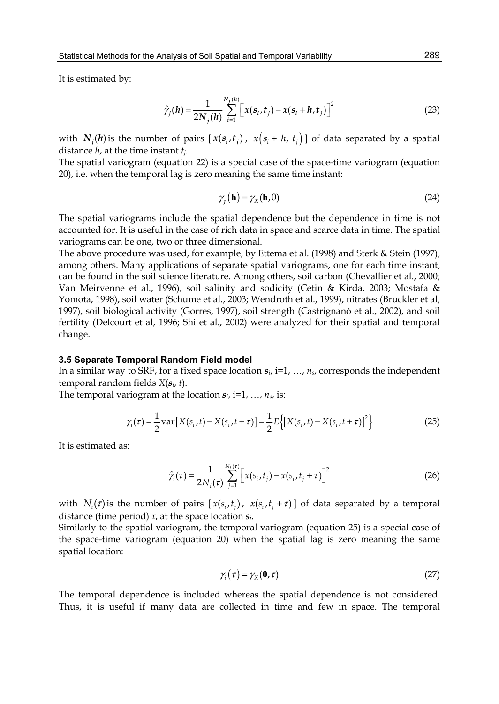It is estimated by:

$$
\hat{\gamma}_j(h) = \frac{1}{2N_j(h)} \sum_{i=1}^{N_j(h)} \left[ x(s_i, t_j) - x(s_i + h, t_j) \right]^2
$$
\n(23)

with  $N_i(h)$  is the number of pairs  $[x(s_i, t_j)]$ ,  $x(s_i + h, t_i]$  of data separated by a spatial distance *h*, at the time instant *tj*.

The spatial variogram (equation 22) is a special case of the space-time variogram (equation 20), i.e. when the temporal lag is zero meaning the same time instant:

$$
\gamma_j(\mathbf{h}) = \gamma_\mathbf{X}(\mathbf{h}, 0) \tag{24}
$$

The spatial variograms include the spatial dependence but the dependence in time is not accounted for. It is useful in the case of rich data in space and scarce data in time. The spatial variograms can be one, two or three dimensional.

The above procedure was used, for example, by Ettema et al. (1998) and Sterk & Stein (1997), among others. Many applications of separate spatial variograms, one for each time instant, can be found in the soil science literature. Among others, soil carbon (Chevallier et al., 2000; Van Meirvenne et al., 1996), soil salinity and sodicity (Cetin & Kirda, 2003; Mostafa & Yomota, 1998), soil water (Schume et al., 2003; Wendroth et al., 1999), nitrates (Bruckler et al, 1997), soil biological activity (Gorres, 1997), soil strength (Castrignanò et al., 2002), and soil fertility (Delcourt et al, 1996; Shi et al., 2002) were analyzed for their spatial and temporal change.

#### **3.5 Separate Temporal Random Field model**

In a similar way to SRF, for a fixed space location *si*, i=1, …, *ns*, corresponds the independent temporal random fields *X*(*si*, *t*).

The temporal variogram at the location  $s_i$ , i=1, ...,  $n_s$ , is:

$$
\gamma_i(\tau) = \frac{1}{2} \text{var}\left[X(s_i, t) - X(s_i, t + \tau)\right] = \frac{1}{2} E\left\{ \left[X(s_i, t) - X(s_i, t + \tau)\right]^2 \right\}
$$
(25)

It is estimated as:

$$
\hat{\gamma}_i(\tau) = \frac{1}{2N_i(\tau)} \sum_{j=1}^{N_i(\tau)} \left[ x(s_i, t_j) - x(s_i, t_j + \tau) \right]^2
$$
\n(26)

with  $N_i(\tau)$  is the number of pairs  $[x(s_i, t_i), x(s_i, t_i + \tau)]$  of data separated by a temporal distance (time period) *τ*, at the space location *si*.

Similarly to the spatial variogram, the temporal variogram (equation 25) is a special case of the space-time variogram (equation 20) when the spatial lag is zero meaning the same spatial location:

$$
\gamma_i(\tau) = \gamma_X(\mathbf{0}, \tau) \tag{27}
$$

The temporal dependence is included whereas the spatial dependence is not considered. Thus, it is useful if many data are collected in time and few in space. The temporal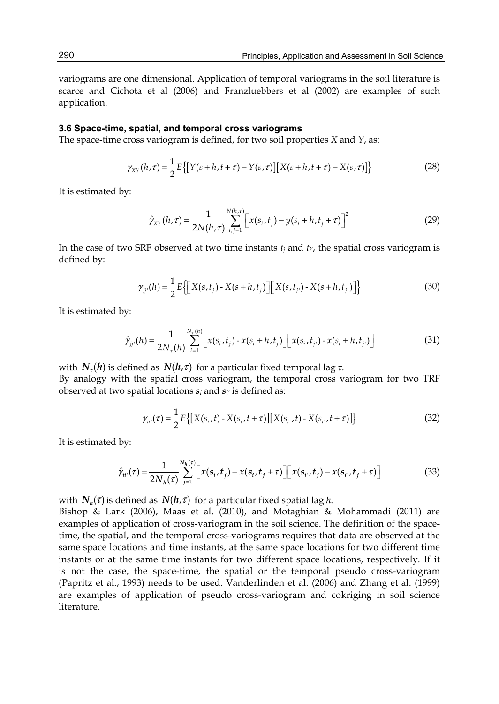variograms are one dimensional. Application of temporal variograms in the soil literature is scarce and Cichota et al (2006) and Franzluebbers et al (2002) are examples of such application.

### **3.6 Space-time, spatial, and temporal cross variograms**

The space-time cross variogram is defined, for two soil properties *X* and *Y*, as:

$$
\gamma_{XY}(h,\tau) = \frac{1}{2} E\{ [Y(s+h,t+\tau) - Y(s,\tau)][X(s+h,t+\tau) - X(s,\tau)] \}
$$
 (28)

It is estimated by:

$$
\hat{\gamma}_{XY}(h,\tau) = \frac{1}{2N(h,\tau)} \sum_{i,j=1}^{N(h,\tau)} \left[ x(s_i,t_j) - y(s_i+h,t_j+\tau) \right]^2
$$
\n(29)

In the case of two SRF observed at two time instants  $t_i$  and  $t_{i'}$ , the spatial cross variogram is defined by:

$$
\gamma_{jj'}(h) = \frac{1}{2} E\bigg\{ \bigg[ X(s, t_j) - X(s + h, t_j) \bigg] \bigg[ X(s, t_j) - X(s + h, t_j) \bigg] \bigg\}
$$
(30)

It is estimated by:

$$
\hat{\gamma}_{jj'}(h) = \frac{1}{2N_{\tau}(h)} \sum_{i=1}^{N_{\tau}(h)} \left[ x(s_i, t_j) - x(s_i + h, t_j) \right] \left[ x(s_i, t_{j'}) - x(s_i + h, t_{j'}) \right]
$$
(31)

with  $N_r(h)$  is defined as  $N(h,\tau)$  for a particular fixed temporal lag  $\tau$ .

By analogy with the spatial cross variogram, the temporal cross variogram for two TRF observed at two spatial locations *si* and *si'* is defined as:

$$
\gamma_{ii}(\tau) = \frac{1}{2} E\big\{ \big[ X(s_i, t) - X(s_i, t + \tau) \big] \big[ X(s_{i'}, t) - X(s_{i'}, t + \tau) \big] \big\}
$$
(32)

It is estimated by:

$$
\hat{\gamma}_{ii'}(\tau) = \frac{1}{2N_h(\tau)} \sum_{j=1}^{N_h(\tau)} \left[ x(s_i, t_j) - x(s_i, t_j + \tau) \right] \left[ x(s_{i'}, t_j) - x(s_{i'}, t_j + \tau) \right]
$$
(33)

with  $N_h(\tau)$  is defined as  $N(h,\tau)$  for a particular fixed spatial lag *h*.

Bishop & Lark (2006), Maas et al. (2010), and Motaghian & Mohammadi (2011) are examples of application of cross-variogram in the soil science. The definition of the spacetime, the spatial, and the temporal cross-variograms requires that data are observed at the same space locations and time instants, at the same space locations for two different time instants or at the same time instants for two different space locations, respectively. If it is not the case, the space-time, the spatial or the temporal pseudo cross-variogram (Papritz et al., 1993) needs to be used. Vanderlinden et al. (2006) and Zhang et al. (1999) are examples of application of pseudo cross-variogram and cokriging in soil science literature.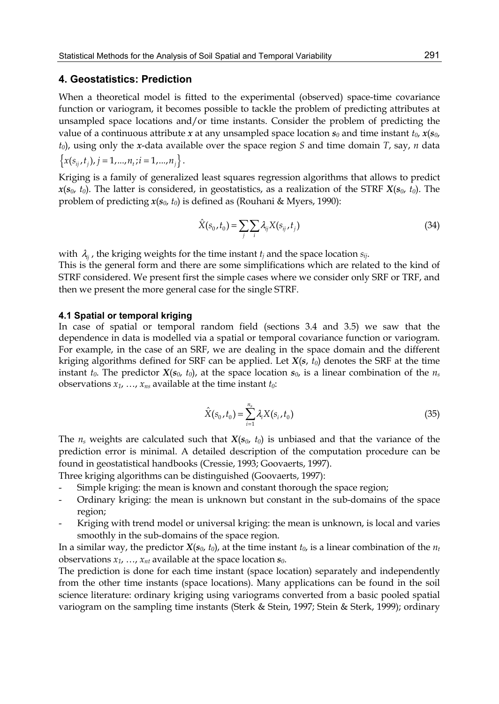## **4. Geostatistics: Prediction**

When a theoretical model is fitted to the experimental (observed) space-time covariance function or variogram, it becomes possible to tackle the problem of predicting attributes at unsampled space locations and/or time instants. Consider the problem of predicting the value of a continuous attribute *x* at any unsampled space location  $s_0$  and time instant  $t_0$ ,  $x(s_0)$ *t0*), using only the *x*-data available over the space region *S* and time domain *T*, say, *n* data  $\left\{ x(s_{ij}, t_i), j = 1, ..., n_i; i = 1, ..., n_i \right\}.$ 

Kriging is a family of generalized least squares regression algorithms that allows to predict  $x(s_0, t_0)$ . The latter is considered, in geostatistics, as a realization of the STRF  $X(s_0, t_0)$ . The problem of predicting  $x(s_0, t_0)$  is defined as (Rouhani & Myers, 1990):

$$
\hat{X}(s_0, t_0) = \sum_j \sum_i \lambda_{ij} X(s_{ij}, t_j)
$$
\n(34)

with  $\lambda_i$ , the kriging weights for the time instant  $t_i$  and the space location  $s_{ij}$ .

This is the general form and there are some simplifications which are related to the kind of STRF considered. We present first the simple cases where we consider only SRF or TRF, and then we present the more general case for the single STRF.

#### **4.1 Spatial or temporal kriging**

In case of spatial or temporal random field (sections 3.4 and 3.5) we saw that the dependence in data is modelled via a spatial or temporal covariance function or variogram. For example, in the case of an SRF, we are dealing in the space domain and the different kriging algorithms defined for SRF can be applied. Let  $X(s, t_0)$  denotes the SRF at the time instant  $t_0$ . The predictor  $X(s_0, t_0)$ , at the space location  $s_0$ , is a linear combination of the  $n_s$ observations  $x_1$ , ...,  $x_n$  available at the time instant  $t_0$ :

$$
\hat{X}(s_0, t_0) = \sum_{i=1}^{n_s} \lambda_i X(s_i, t_0)
$$
\n(35)

The  $n_s$  weights are calculated such that  $X(s_0, t_0)$  is unbiased and that the variance of the prediction error is minimal. A detailed description of the computation procedure can be found in geostatistical handbooks (Cressie, 1993; Goovaerts, 1997).

Three kriging algorithms can be distinguished (Goovaerts, 1997):

- Simple kriging: the mean is known and constant thorough the space region;
- Ordinary kriging: the mean is unknown but constant in the sub-domains of the space region;
- Kriging with trend model or universal kriging: the mean is unknown, is local and varies smoothly in the sub-domains of the space region.

In a similar way, the predictor  $X(s_0, t_0)$ , at the time instant  $t_0$ , is a linear combination of the  $n_t$ observations  $x_1$ , …,  $x_n$  available at the space location  $s_0$ .

The prediction is done for each time instant (space location) separately and independently from the other time instants (space locations). Many applications can be found in the soil science literature: ordinary kriging using variograms converted from a basic pooled spatial variogram on the sampling time instants (Sterk & Stein, 1997; Stein & Sterk, 1999); ordinary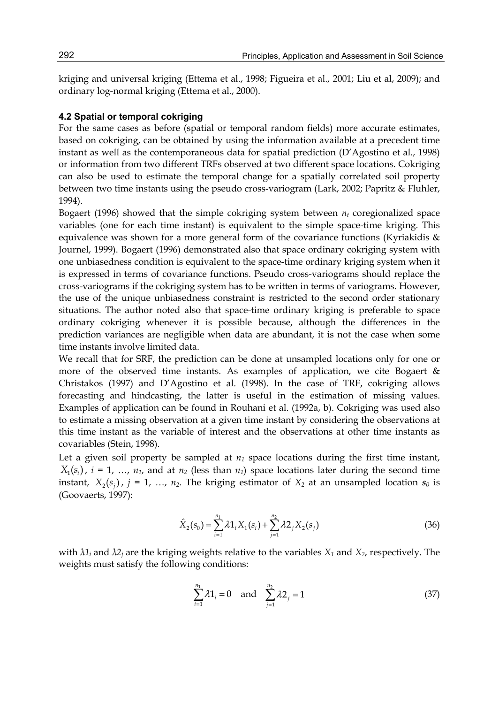kriging and universal kriging (Ettema et al., 1998; Figueira et al., 2001; Liu et al, 2009); and ordinary log-normal kriging (Ettema et al., 2000).

## **4.2 Spatial or temporal cokriging**

For the same cases as before (spatial or temporal random fields) more accurate estimates, based on cokriging, can be obtained by using the information available at a precedent time instant as well as the contemporaneous data for spatial prediction (D'Agostino et al., 1998) or information from two different TRFs observed at two different space locations. Cokriging can also be used to estimate the temporal change for a spatially correlated soil property between two time instants using the pseudo cross-variogram (Lark, 2002; Papritz & Fluhler, 1994).

Bogaert (1996) showed that the simple cokriging system between  $n_t$  coregionalized space variables (one for each time instant) is equivalent to the simple space-time kriging. This equivalence was shown for a more general form of the covariance functions (Kyriakidis & Journel, 1999). Bogaert (1996) demonstrated also that space ordinary cokriging system with one unbiasedness condition is equivalent to the space-time ordinary kriging system when it is expressed in terms of covariance functions. Pseudo cross-variograms should replace the cross-variograms if the cokriging system has to be written in terms of variograms. However, the use of the unique unbiasedness constraint is restricted to the second order stationary situations. The author noted also that space-time ordinary kriging is preferable to space ordinary cokriging whenever it is possible because, although the differences in the prediction variances are negligible when data are abundant, it is not the case when some time instants involve limited data.

We recall that for SRF, the prediction can be done at unsampled locations only for one or more of the observed time instants. As examples of application, we cite Bogaert & Christakos (1997) and D'Agostino et al. (1998). In the case of TRF, cokriging allows forecasting and hindcasting, the latter is useful in the estimation of missing values. Examples of application can be found in Rouhani et al. (1992a, b). Cokriging was used also to estimate a missing observation at a given time instant by considering the observations at this time instant as the variable of interest and the observations at other time instants as covariables (Stein, 1998).

Let a given soil property be sampled at  $n_1$  space locations during the first time instant,  $X_1(s_i)$ ,  $i = 1, ..., n_1$ , and at  $n_2$  (less than  $n_1$ ) space locations later during the second time instant,  $X_2(s_i)$ ,  $j = 1, ..., n_2$ . The kriging estimator of  $X_2$  at an unsampled location  $s_0$  is (Goovaerts, 1997):

$$
\hat{X}_2(s_0) = \sum_{i=1}^{n_1} \lambda \mathbf{1}_i X_1(s_i) + \sum_{j=1}^{n_2} \lambda \mathbf{2}_j X_2(s_j)
$$
\n(36)

with  $\lambda$ *1<sub>i</sub>* and  $\lambda$ *2<sub>j</sub>* are the kriging weights relative to the variables  $X_1$  and  $X_2$ , respectively. The weights must satisfy the following conditions:

$$
\sum_{i=1}^{n_1} \lambda 1_i = 0 \quad \text{and} \quad \sum_{j=1}^{n_2} \lambda 2_j = 1 \tag{37}
$$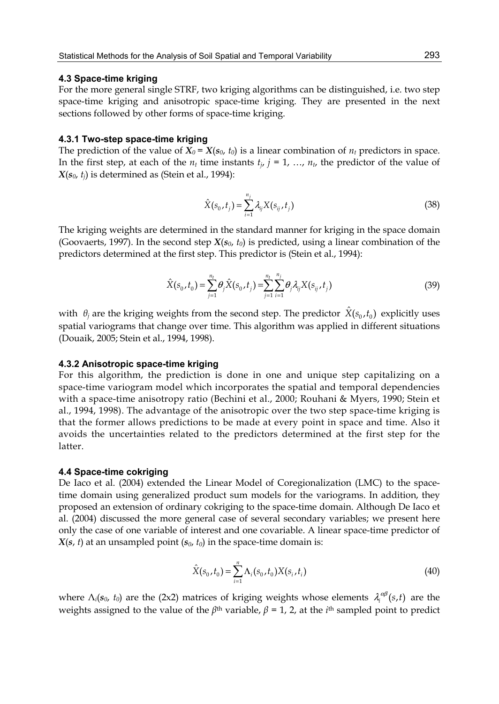## **4.3 Space-time kriging**

For the more general single STRF, two kriging algorithms can be distinguished, i.e. two step space-time kriging and anisotropic space-time kriging. They are presented in the next sections followed by other forms of space-time kriging.

## **4.3.1 Two-step space-time kriging**

The prediction of the value of  $X_0 = X(s_0, t_0)$  is a linear combination of  $n_t$  predictors in space. In the first step, at each of the  $n_t$  time instants  $t_i$ ,  $j = 1, ..., n_t$ , the predictor of the value of  $X(s_0, t_i)$  is determined as (Stein et al., 1994):

$$
\hat{X}(s_0, t_j) = \sum_{i=1}^{n_j} \lambda_{ij} X(s_{ij}, t_j)
$$
\n(38)

The kriging weights are determined in the standard manner for kriging in the space domain (Goovaerts, 1997). In the second step *X*(*s0*, *t0*) is predicted, using a linear combination of the predictors determined at the first step. This predictor is (Stein et al., 1994):

$$
\hat{X}(s_0, t_0) = \sum_{j=1}^{n_i} \theta_j \hat{X}(s_0, t_j) = \sum_{j=1}^{n_i} \sum_{i=1}^{n_j} \theta_j \lambda_{ij} X(s_{ij}, t_j)
$$
\n(39)

with  $\theta_j$  are the kriging weights from the second step. The predictor  $\hat{X}(s_0, t_0)$  explicitly uses spatial variograms that change over time. This algorithm was applied in different situations (Douaik, 2005; Stein et al., 1994, 1998).

#### **4.3.2 Anisotropic space-time kriging**

For this algorithm, the prediction is done in one and unique step capitalizing on a space-time variogram model which incorporates the spatial and temporal dependencies with a space-time anisotropy ratio (Bechini et al., 2000; Rouhani & Myers, 1990; Stein et al., 1994, 1998). The advantage of the anisotropic over the two step space-time kriging is that the former allows predictions to be made at every point in space and time. Also it avoids the uncertainties related to the predictors determined at the first step for the latter.

#### **4.4 Space-time cokriging**

De Iaco et al. (2004) extended the Linear Model of Coregionalization (LMC) to the spacetime domain using generalized product sum models for the variograms. In addition, they proposed an extension of ordinary cokriging to the space-time domain. Although De Iaco et al. (2004) discussed the more general case of several secondary variables; we present here only the case of one variable of interest and one covariable. A linear space-time predictor of  $X(s, t)$  at an unsampled point  $(s_0, t_0)$  in the space-time domain is:

$$
\hat{X}(s_0, t_0) = \sum_{i=1}^{n} \Lambda_i(s_0, t_0) X(s_i, t_i)
$$
\n(40)

where  $\Lambda_i(s_0, t_0)$  are the (2x2) matrices of kriging weights whose elements  $\lambda_i^{a\beta}(s,t)$  are the weights assigned to the value of the *β*th variable, *β* = 1, 2, at the *i*th sampled point to predict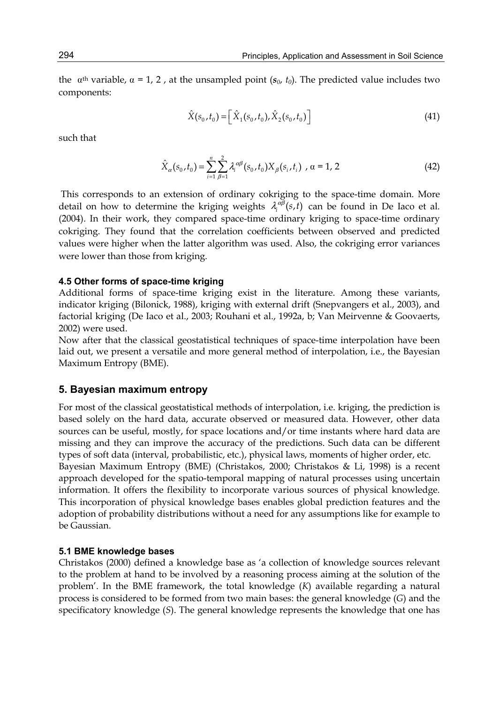the  $\alpha$ <sup>th</sup> variable,  $\alpha$  = 1, 2, at the unsampled point ( $s_0$ ,  $t_0$ ). The predicted value includes two components:

$$
\hat{X}(s_0, t_0) = \left[ \hat{X}_1(s_0, t_0), \hat{X}_2(s_0, t_0) \right]
$$
\n(41)

such that

$$
\hat{X}_{\alpha}(s_0, t_0) = \sum_{i=1}^{n} \sum_{\beta=1}^{2} \lambda_i^{\alpha\beta}(s_0, t_0) X_{\beta}(s_i, t_i) , \alpha = 1, 2
$$
\n(42)

 This corresponds to an extension of ordinary cokriging to the space-time domain. More detail on how to determine the kriging weights  $\lambda_i^{\alpha\beta}(s,t)$  can be found in De Iaco et al. (2004). In their work, they compared space-time ordinary kriging to space-time ordinary cokriging. They found that the correlation coefficients between observed and predicted values were higher when the latter algorithm was used. Also, the cokriging error variances were lower than those from kriging.

#### **4.5 Other forms of space-time kriging**

Additional forms of space-time kriging exist in the literature. Among these variants, indicator kriging (Bilonick, 1988), kriging with external drift (Snepvangers et al., 2003), and factorial kriging (De Iaco et al., 2003; Rouhani et al., 1992a, b; Van Meirvenne & Goovaerts, 2002) were used.

Now after that the classical geostatistical techniques of space-time interpolation have been laid out, we present a versatile and more general method of interpolation, i.e., the Bayesian Maximum Entropy (BME).

#### **5. Bayesian maximum entropy**

For most of the classical geostatistical methods of interpolation, i.e. kriging, the prediction is based solely on the hard data, accurate observed or measured data. However, other data sources can be useful, mostly, for space locations and/or time instants where hard data are missing and they can improve the accuracy of the predictions. Such data can be different types of soft data (interval, probabilistic, etc.), physical laws, moments of higher order, etc. Bayesian Maximum Entropy (BME) (Christakos, 2000; Christakos & Li, 1998) is a recent approach developed for the spatio-temporal mapping of natural processes using uncertain information. It offers the flexibility to incorporate various sources of physical knowledge.

This incorporation of physical knowledge bases enables global prediction features and the adoption of probability distributions without a need for any assumptions like for example to be Gaussian.

## **5.1 BME knowledge bases**

Christakos (2000) defined a knowledge base as 'a collection of knowledge sources relevant to the problem at hand to be involved by a reasoning process aiming at the solution of the problem'. In the BME framework, the total knowledge (*K*) available regarding a natural process is considered to be formed from two main bases: the general knowledge (*G*) and the specificatory knowledge (*S*). The general knowledge represents the knowledge that one has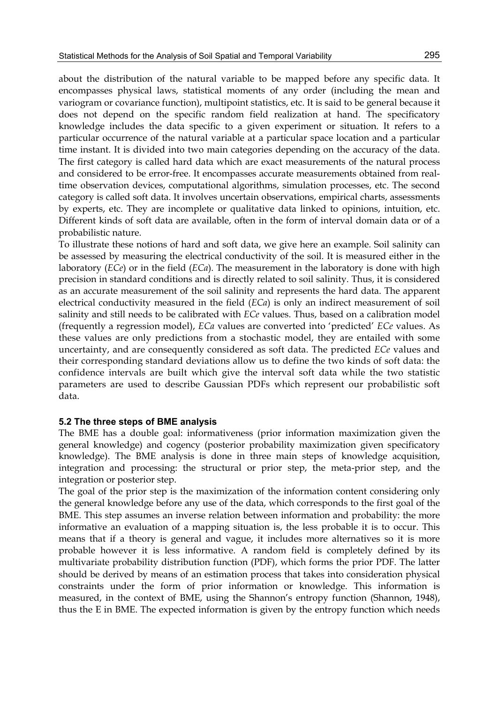about the distribution of the natural variable to be mapped before any specific data. It encompasses physical laws, statistical moments of any order (including the mean and variogram or covariance function), multipoint statistics, etc. It is said to be general because it does not depend on the specific random field realization at hand. The specificatory knowledge includes the data specific to a given experiment or situation. It refers to a particular occurrence of the natural variable at a particular space location and a particular time instant. It is divided into two main categories depending on the accuracy of the data. The first category is called hard data which are exact measurements of the natural process and considered to be error-free. It encompasses accurate measurements obtained from realtime observation devices, computational algorithms, simulation processes, etc. The second category is called soft data. It involves uncertain observations, empirical charts, assessments by experts, etc. They are incomplete or qualitative data linked to opinions, intuition, etc. Different kinds of soft data are available, often in the form of interval domain data or of a probabilistic nature.

To illustrate these notions of hard and soft data, we give here an example. Soil salinity can be assessed by measuring the electrical conductivity of the soil. It is measured either in the laboratory (*ECe*) or in the field (*ECa*). The measurement in the laboratory is done with high precision in standard conditions and is directly related to soil salinity. Thus, it is considered as an accurate measurement of the soil salinity and represents the hard data. The apparent electrical conductivity measured in the field (*ECa*) is only an indirect measurement of soil salinity and still needs to be calibrated with *ECe* values. Thus, based on a calibration model (frequently a regression model), *ECa* values are converted into 'predicted' *ECe* values. As these values are only predictions from a stochastic model, they are entailed with some uncertainty, and are consequently considered as soft data. The predicted *ECe* values and their corresponding standard deviations allow us to define the two kinds of soft data: the confidence intervals are built which give the interval soft data while the two statistic parameters are used to describe Gaussian PDFs which represent our probabilistic soft data.

## **5.2 The three steps of BME analysis**

The BME has a double goal: informativeness (prior information maximization given the general knowledge) and cogency (posterior probability maximization given specificatory knowledge). The BME analysis is done in three main steps of knowledge acquisition, integration and processing: the structural or prior step, the meta-prior step, and the integration or posterior step.

The goal of the prior step is the maximization of the information content considering only the general knowledge before any use of the data, which corresponds to the first goal of the BME. This step assumes an inverse relation between information and probability: the more informative an evaluation of a mapping situation is, the less probable it is to occur. This means that if a theory is general and vague, it includes more alternatives so it is more probable however it is less informative. A random field is completely defined by its multivariate probability distribution function (PDF), which forms the prior PDF. The latter should be derived by means of an estimation process that takes into consideration physical constraints under the form of prior information or knowledge. This information is measured, in the context of BME, using the Shannon's entropy function (Shannon, 1948), thus the E in BME. The expected information is given by the entropy function which needs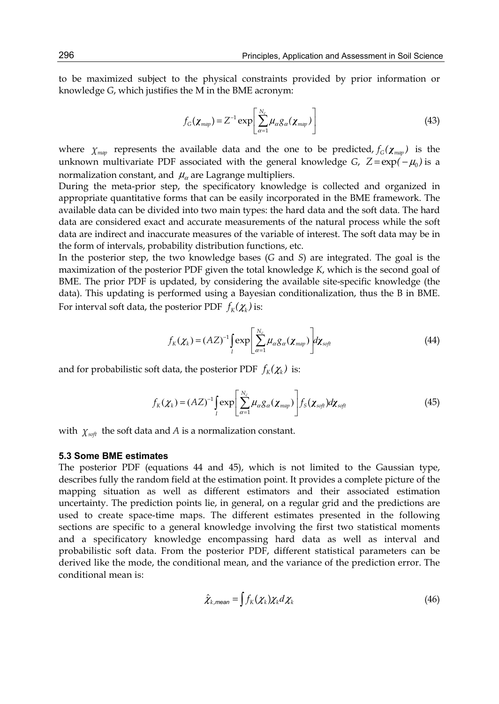to be maximized subject to the physical constraints provided by prior information or knowledge *G*, which justifies the M in the BME acronym:

$$
f_G(\boldsymbol{\chi}_{map}) = Z^{-1} \exp \left[ \sum_{\alpha=1}^{N_c} \mu_{\alpha} g_{\alpha}(\boldsymbol{\chi}_{map}) \right]
$$
(43)

where  $\chi_{mm}$  represents the available data and the one to be predicted,  $f_G(\chi_{mm})$  is the unknown multivariate PDF associated with the general knowledge *G*,  $Z = \exp(-\mu_0)$  is a normalization constant, and  $\mu_{\alpha}$  are Lagrange multipliers.

During the meta-prior step, the specificatory knowledge is collected and organized in appropriate quantitative forms that can be easily incorporated in the BME framework. The available data can be divided into two main types: the hard data and the soft data. The hard data are considered exact and accurate measurements of the natural process while the soft data are indirect and inaccurate measures of the variable of interest. The soft data may be in the form of intervals, probability distribution functions, etc.

In the posterior step, the two knowledge bases (*G* and *S*) are integrated. The goal is the maximization of the posterior PDF given the total knowledge *K*, which is the second goal of BME. The prior PDF is updated, by considering the available site-specific knowledge (the data). This updating is performed using a Bayesian conditionalization, thus the B in BME. For interval soft data, the posterior PDF  $f_k(\chi_k)$  is:

$$
f_K(\chi_k) = (AZ)^{-1} \int_l \exp \left[ \sum_{\alpha=1}^{N_c} \mu_\alpha g_\alpha(\chi_{map}) \right] d\chi_{soft}
$$
 (44)

and for probabilistic soft data, the posterior PDF  $f_k(\chi_k)$  is:

$$
f_K(\boldsymbol{\chi}_k) = (AZ)^{-1} \int_I \exp \left[ \sum_{\alpha=1}^{N_c} \mu_\alpha g_\alpha(\boldsymbol{\chi}_{map}) \right] f_S(\boldsymbol{\chi}_{soft}) d\boldsymbol{\chi}_{soft}
$$
 (45)

with  $\chi_{\text{soft}}$  the soft data and *A* is a normalization constant.

## **5.3 Some BME estimates**

The posterior PDF (equations 44 and 45), which is not limited to the Gaussian type, describes fully the random field at the estimation point. It provides a complete picture of the mapping situation as well as different estimators and their associated estimation uncertainty. The prediction points lie, in general, on a regular grid and the predictions are used to create space-time maps. The different estimates presented in the following sections are specific to a general knowledge involving the first two statistical moments and a specificatory knowledge encompassing hard data as well as interval and probabilistic soft data. From the posterior PDF, different statistical parameters can be derived like the mode, the conditional mean, and the variance of the prediction error. The conditional mean is:

$$
\hat{\chi}_{k, \text{mean}} = \int f_K(\chi_k) \chi_k d\chi_k \tag{46}
$$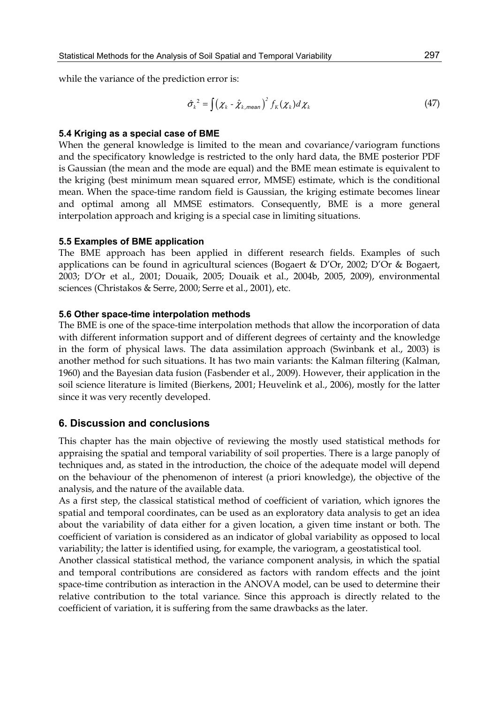while the variance of the prediction error is:

$$
\hat{\sigma}_k^2 = \int (\chi_k - \hat{\chi}_{k, \text{mean}})^2 f_K(\chi_k) d\chi_k \tag{47}
$$

#### **5.4 Kriging as a special case of BME**

When the general knowledge is limited to the mean and covariance/variogram functions and the specificatory knowledge is restricted to the only hard data, the BME posterior PDF is Gaussian (the mean and the mode are equal) and the BME mean estimate is equivalent to the kriging (best minimum mean squared error, MMSE) estimate, which is the conditional mean. When the space-time random field is Gaussian, the kriging estimate becomes linear and optimal among all MMSE estimators. Consequently, BME is a more general interpolation approach and kriging is a special case in limiting situations.

#### **5.5 Examples of BME application**

The BME approach has been applied in different research fields. Examples of such applications can be found in agricultural sciences (Bogaert & D'Or, 2002; D'Or & Bogaert, 2003; D'Or et al., 2001; Douaik, 2005; Douaik et al., 2004b, 2005, 2009), environmental sciences (Christakos & Serre, 2000; Serre et al., 2001), etc.

#### **5.6 Other space-time interpolation methods**

The BME is one of the space-time interpolation methods that allow the incorporation of data with different information support and of different degrees of certainty and the knowledge in the form of physical laws. The data assimilation approach (Swinbank et al., 2003) is another method for such situations. It has two main variants: the Kalman filtering (Kalman, 1960) and the Bayesian data fusion (Fasbender et al., 2009). However, their application in the soil science literature is limited (Bierkens, 2001; Heuvelink et al., 2006), mostly for the latter since it was very recently developed.

## **6. Discussion and conclusions**

This chapter has the main objective of reviewing the mostly used statistical methods for appraising the spatial and temporal variability of soil properties. There is a large panoply of techniques and, as stated in the introduction, the choice of the adequate model will depend on the behaviour of the phenomenon of interest (a priori knowledge), the objective of the analysis, and the nature of the available data.

As a first step, the classical statistical method of coefficient of variation, which ignores the spatial and temporal coordinates, can be used as an exploratory data analysis to get an idea about the variability of data either for a given location, a given time instant or both. The coefficient of variation is considered as an indicator of global variability as opposed to local variability; the latter is identified using, for example, the variogram, a geostatistical tool.

Another classical statistical method, the variance component analysis, in which the spatial and temporal contributions are considered as factors with random effects and the joint space-time contribution as interaction in the ANOVA model, can be used to determine their relative contribution to the total variance. Since this approach is directly related to the coefficient of variation, it is suffering from the same drawbacks as the later.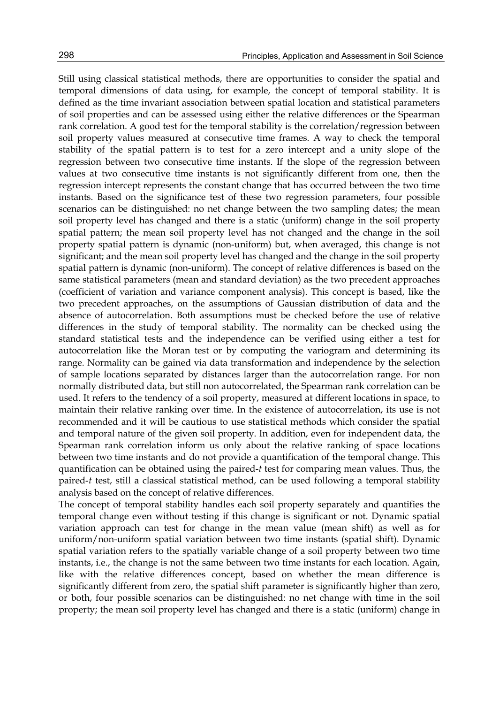Still using classical statistical methods, there are opportunities to consider the spatial and temporal dimensions of data using, for example, the concept of temporal stability. It is defined as the time invariant association between spatial location and statistical parameters of soil properties and can be assessed using either the relative differences or the Spearman rank correlation. A good test for the temporal stability is the correlation/regression between soil property values measured at consecutive time frames. A way to check the temporal stability of the spatial pattern is to test for a zero intercept and a unity slope of the regression between two consecutive time instants. If the slope of the regression between values at two consecutive time instants is not significantly different from one, then the regression intercept represents the constant change that has occurred between the two time instants. Based on the significance test of these two regression parameters, four possible scenarios can be distinguished: no net change between the two sampling dates; the mean soil property level has changed and there is a static (uniform) change in the soil property spatial pattern; the mean soil property level has not changed and the change in the soil property spatial pattern is dynamic (non-uniform) but, when averaged, this change is not significant; and the mean soil property level has changed and the change in the soil property spatial pattern is dynamic (non-uniform). The concept of relative differences is based on the same statistical parameters (mean and standard deviation) as the two precedent approaches (coefficient of variation and variance component analysis). This concept is based, like the two precedent approaches, on the assumptions of Gaussian distribution of data and the absence of autocorrelation. Both assumptions must be checked before the use of relative differences in the study of temporal stability. The normality can be checked using the standard statistical tests and the independence can be verified using either a test for autocorrelation like the Moran test or by computing the variogram and determining its range. Normality can be gained via data transformation and independence by the selection of sample locations separated by distances larger than the autocorrelation range. For non normally distributed data, but still non autocorrelated, the Spearman rank correlation can be used. It refers to the tendency of a soil property, measured at different locations in space, to maintain their relative ranking over time. In the existence of autocorrelation, its use is not recommended and it will be cautious to use statistical methods which consider the spatial and temporal nature of the given soil property. In addition, even for independent data, the Spearman rank correlation inform us only about the relative ranking of space locations between two time instants and do not provide a quantification of the temporal change. This quantification can be obtained using the paired-*t* test for comparing mean values. Thus, the paired-*t* test, still a classical statistical method, can be used following a temporal stability analysis based on the concept of relative differences.

The concept of temporal stability handles each soil property separately and quantifies the temporal change even without testing if this change is significant or not. Dynamic spatial variation approach can test for change in the mean value (mean shift) as well as for uniform/non-uniform spatial variation between two time instants (spatial shift). Dynamic spatial variation refers to the spatially variable change of a soil property between two time instants, i.e., the change is not the same between two time instants for each location. Again, like with the relative differences concept, based on whether the mean difference is significantly different from zero, the spatial shift parameter is significantly higher than zero, or both, four possible scenarios can be distinguished: no net change with time in the soil property; the mean soil property level has changed and there is a static (uniform) change in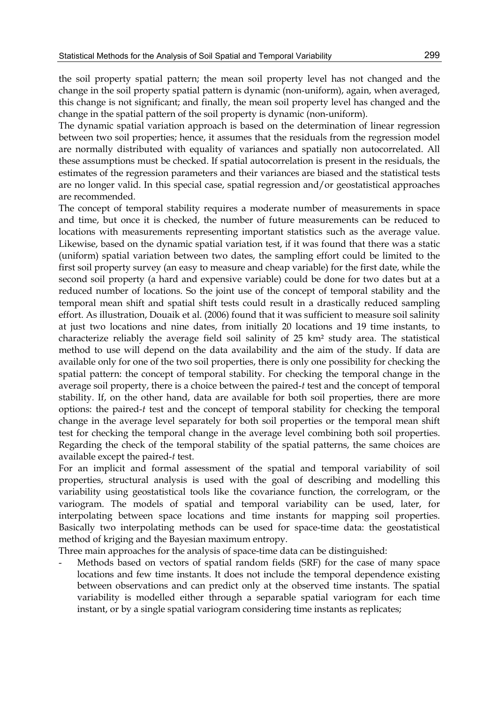the soil property spatial pattern; the mean soil property level has not changed and the change in the soil property spatial pattern is dynamic (non-uniform), again, when averaged, this change is not significant; and finally, the mean soil property level has changed and the change in the spatial pattern of the soil property is dynamic (non-uniform).

The dynamic spatial variation approach is based on the determination of linear regression between two soil properties; hence, it assumes that the residuals from the regression model are normally distributed with equality of variances and spatially non autocorrelated. All these assumptions must be checked. If spatial autocorrelation is present in the residuals, the estimates of the regression parameters and their variances are biased and the statistical tests are no longer valid. In this special case, spatial regression and/or geostatistical approaches are recommended.

The concept of temporal stability requires a moderate number of measurements in space and time, but once it is checked, the number of future measurements can be reduced to locations with measurements representing important statistics such as the average value. Likewise, based on the dynamic spatial variation test, if it was found that there was a static (uniform) spatial variation between two dates, the sampling effort could be limited to the first soil property survey (an easy to measure and cheap variable) for the first date, while the second soil property (a hard and expensive variable) could be done for two dates but at a reduced number of locations. So the joint use of the concept of temporal stability and the temporal mean shift and spatial shift tests could result in a drastically reduced sampling effort. As illustration, Douaik et al. (2006) found that it was sufficient to measure soil salinity at just two locations and nine dates, from initially 20 locations and 19 time instants, to characterize reliably the average field soil salinity of 25 km² study area. The statistical method to use will depend on the data availability and the aim of the study. If data are available only for one of the two soil properties, there is only one possibility for checking the spatial pattern: the concept of temporal stability. For checking the temporal change in the average soil property, there is a choice between the paired-*t* test and the concept of temporal stability. If, on the other hand, data are available for both soil properties, there are more options: the paired-*t* test and the concept of temporal stability for checking the temporal change in the average level separately for both soil properties or the temporal mean shift test for checking the temporal change in the average level combining both soil properties. Regarding the check of the temporal stability of the spatial patterns, the same choices are available except the paired-*t* test.

For an implicit and formal assessment of the spatial and temporal variability of soil properties, structural analysis is used with the goal of describing and modelling this variability using geostatistical tools like the covariance function, the correlogram, or the variogram. The models of spatial and temporal variability can be used, later, for interpolating between space locations and time instants for mapping soil properties. Basically two interpolating methods can be used for space-time data: the geostatistical method of kriging and the Bayesian maximum entropy.

Three main approaches for the analysis of space-time data can be distinguished:

- Methods based on vectors of spatial random fields (SRF) for the case of many space locations and few time instants. It does not include the temporal dependence existing between observations and can predict only at the observed time instants. The spatial variability is modelled either through a separable spatial variogram for each time instant, or by a single spatial variogram considering time instants as replicates;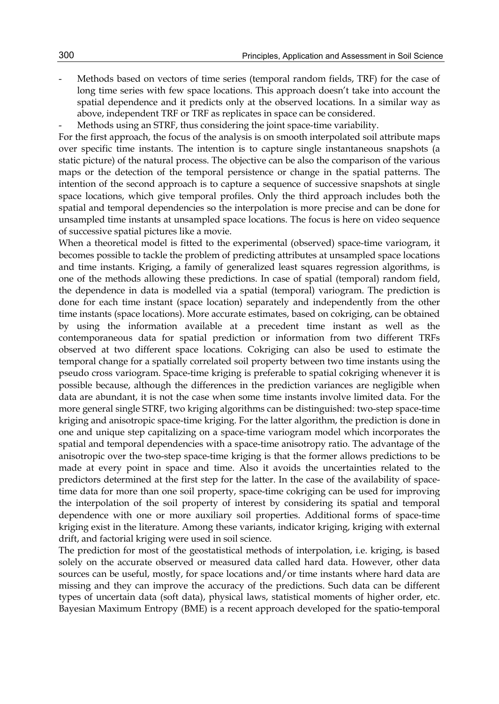- Methods based on vectors of time series (temporal random fields, TRF) for the case of long time series with few space locations. This approach doesn't take into account the spatial dependence and it predicts only at the observed locations. In a similar way as above, independent TRF or TRF as replicates in space can be considered.
- Methods using an STRF, thus considering the joint space-time variability.

For the first approach, the focus of the analysis is on smooth interpolated soil attribute maps over specific time instants. The intention is to capture single instantaneous snapshots (a static picture) of the natural process. The objective can be also the comparison of the various maps or the detection of the temporal persistence or change in the spatial patterns. The intention of the second approach is to capture a sequence of successive snapshots at single space locations, which give temporal profiles. Only the third approach includes both the spatial and temporal dependencies so the interpolation is more precise and can be done for unsampled time instants at unsampled space locations. The focus is here on video sequence of successive spatial pictures like a movie.

When a theoretical model is fitted to the experimental (observed) space-time variogram, it becomes possible to tackle the problem of predicting attributes at unsampled space locations and time instants. Kriging, a family of generalized least squares regression algorithms, is one of the methods allowing these predictions. In case of spatial (temporal) random field, the dependence in data is modelled via a spatial (temporal) variogram. The prediction is done for each time instant (space location) separately and independently from the other time instants (space locations). More accurate estimates, based on cokriging, can be obtained by using the information available at a precedent time instant as well as the contemporaneous data for spatial prediction or information from two different TRFs observed at two different space locations. Cokriging can also be used to estimate the temporal change for a spatially correlated soil property between two time instants using the pseudo cross variogram. Space-time kriging is preferable to spatial cokriging whenever it is possible because, although the differences in the prediction variances are negligible when data are abundant, it is not the case when some time instants involve limited data. For the more general single STRF, two kriging algorithms can be distinguished: two-step space-time kriging and anisotropic space-time kriging. For the latter algorithm, the prediction is done in one and unique step capitalizing on a space-time variogram model which incorporates the spatial and temporal dependencies with a space-time anisotropy ratio. The advantage of the anisotropic over the two-step space-time kriging is that the former allows predictions to be made at every point in space and time. Also it avoids the uncertainties related to the predictors determined at the first step for the latter. In the case of the availability of spacetime data for more than one soil property, space-time cokriging can be used for improving the interpolation of the soil property of interest by considering its spatial and temporal dependence with one or more auxiliary soil properties. Additional forms of space-time kriging exist in the literature. Among these variants, indicator kriging, kriging with external drift, and factorial kriging were used in soil science.

The prediction for most of the geostatistical methods of interpolation, i.e. kriging, is based solely on the accurate observed or measured data called hard data. However, other data sources can be useful, mostly, for space locations and/or time instants where hard data are missing and they can improve the accuracy of the predictions. Such data can be different types of uncertain data (soft data), physical laws, statistical moments of higher order, etc. Bayesian Maximum Entropy (BME) is a recent approach developed for the spatio-temporal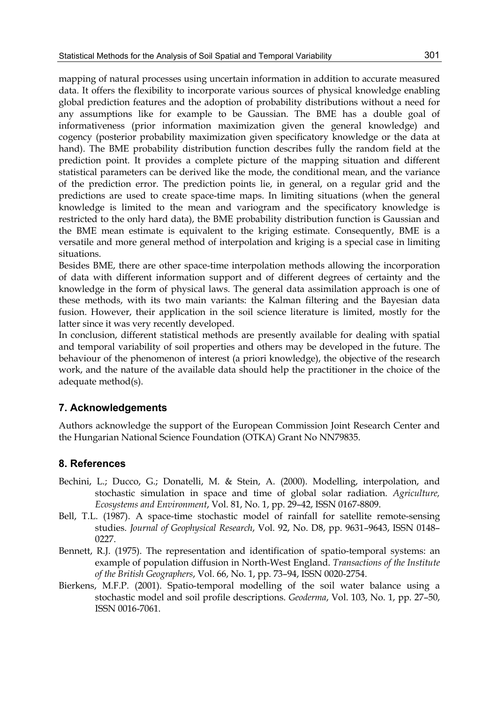mapping of natural processes using uncertain information in addition to accurate measured data. It offers the flexibility to incorporate various sources of physical knowledge enabling global prediction features and the adoption of probability distributions without a need for any assumptions like for example to be Gaussian. The BME has a double goal of informativeness (prior information maximization given the general knowledge) and cogency (posterior probability maximization given specificatory knowledge or the data at hand). The BME probability distribution function describes fully the random field at the prediction point. It provides a complete picture of the mapping situation and different statistical parameters can be derived like the mode, the conditional mean, and the variance of the prediction error. The prediction points lie, in general, on a regular grid and the predictions are used to create space-time maps. In limiting situations (when the general knowledge is limited to the mean and variogram and the specificatory knowledge is restricted to the only hard data), the BME probability distribution function is Gaussian and the BME mean estimate is equivalent to the kriging estimate. Consequently, BME is a versatile and more general method of interpolation and kriging is a special case in limiting situations.

Besides BME, there are other space-time interpolation methods allowing the incorporation of data with different information support and of different degrees of certainty and the knowledge in the form of physical laws. The general data assimilation approach is one of these methods, with its two main variants: the Kalman filtering and the Bayesian data fusion. However, their application in the soil science literature is limited, mostly for the latter since it was very recently developed.

In conclusion, different statistical methods are presently available for dealing with spatial and temporal variability of soil properties and others may be developed in the future. The behaviour of the phenomenon of interest (a priori knowledge), the objective of the research work, and the nature of the available data should help the practitioner in the choice of the adequate method(s).

## **7. Acknowledgements**

Authors acknowledge the support of the European Commission Joint Research Center and the Hungarian National Science Foundation (OTKA) Grant No NN79835.

# **8. References**

- Bechini, L.; Ducco, G.; Donatelli, M. & Stein, A. (2000). Modelling, interpolation, and stochastic simulation in space and time of global solar radiation. *Agriculture, Ecosystems and Environment*, Vol. 81, No. 1, pp. 29–42, ISSN 0167-8809.
- Bell, T.L. (1987). A space-time stochastic model of rainfall for satellite remote-sensing studies. *Journal of Geophysical Research*, Vol. 92, No. D8, pp. 9631–9643, ISSN 0148– 0227.
- Bennett, R.J. (1975). The representation and identification of spatio-temporal systems: an example of population diffusion in North-West England. *Transactions of the Institute of the British Geographers*, Vol. 66, No. 1, pp. 73–94, ISSN 0020-2754.
- Bierkens, M.F.P. (2001). Spatio-temporal modelling of the soil water balance using a stochastic model and soil profile descriptions. *Geoderma*, Vol. 103, No. 1, pp. 27–50, ISSN 0016-7061.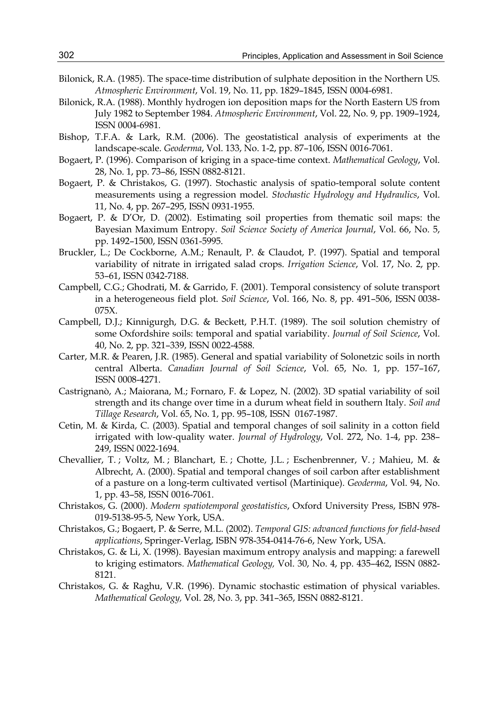- Bilonick, R.A. (1985). The space-time distribution of sulphate deposition in the Northern US. *Atmospheric Environment*, Vol. 19, No. 11, pp. 1829–1845, ISSN 0004-6981.
- Bilonick, R.A. (1988). Monthly hydrogen ion deposition maps for the North Eastern US from July 1982 to September 1984. *Atmospheric Environment*, Vol. 22, No. 9, pp. 1909–1924, ISSN 0004-6981.
- Bishop, T.F.A. & Lark, R.M. (2006). The geostatistical analysis of experiments at the landscape-scale. *Geoderma*, Vol. 133, No. 1-2, pp. 87–106, ISSN 0016-7061.
- Bogaert, P. (1996). Comparison of kriging in a space-time context. *Mathematical Geology*, Vol. 28, No. 1, pp. 73–86, ISSN 0882-8121.
- Bogaert, P. & Christakos, G. (1997). Stochastic analysis of spatio-temporal solute content measurements using a regression model. *Stochastic Hydrology and Hydraulics*, Vol. 11, No. 4, pp. 267–295, ISSN 0931-1955.
- Bogaert, P. & D'Or, D. (2002). Estimating soil properties from thematic soil maps: the Bayesian Maximum Entropy. *Soil Science Society of America Journal*, Vol. 66, No. 5, pp. 1492–1500, ISSN 0361-5995.
- Bruckler, L.; De Cockborne, A.M.; Renault, P. & Claudot, P. (1997). Spatial and temporal variability of nitrate in irrigated salad crops. *Irrigation Science*, Vol. 17, No. 2, pp. 53–61, ISSN 0342-7188.
- Campbell, C.G.; Ghodrati, M. & Garrido, F. (2001). Temporal consistency of solute transport in a heterogeneous field plot. *Soil Science*, Vol. 166, No. 8, pp. 491–506, ISSN 0038- 075X.
- Campbell, D.J.; Kinnigurgh, D.G. & Beckett, P.H.T. (1989). The soil solution chemistry of some Oxfordshire soils: temporal and spatial variability. *Journal of Soil Science*, Vol. 40, No. 2, pp. 321–339, ISSN 0022-4588.
- Carter, M.R. & Pearen, J.R. (1985). General and spatial variability of Solonetzic soils in north central Alberta. *Canadian Journal of Soil Science*, Vol. 65, No. 1, pp. 157–167, ISSN 0008-4271.
- Castrignanò, A.; Maiorana, M.; Fornaro, F. & Lopez, N. (2002). 3D spatial variability of soil strength and its change over time in a durum wheat field in southern Italy. *Soil and Tillage Research*, Vol. 65, No. 1, pp. 95–108, ISSN 0167-1987.
- Cetin, M. & Kirda, C. (2003). Spatial and temporal changes of soil salinity in a cotton field irrigated with low-quality water. *Journal of Hydrology*, Vol. 272, No. 1-4, pp. 238– 249, ISSN 0022-1694.
- Chevallier, T. ; Voltz, M. ; Blanchart, E. ; Chotte, J.L. ; Eschenbrenner, V. ; Mahieu, M. & Albrecht, A. (2000). Spatial and temporal changes of soil carbon after establishment of a pasture on a long-term cultivated vertisol (Martinique). *Geoderma*, Vol. 94, No. 1, pp. 43–58, ISSN 0016-7061.
- Christakos, G. (2000). *Modern spatiotemporal geostatistics*, Oxford University Press, ISBN 978- 019-5138-95-5, New York, USA.
- Christakos, G.; Bogaert, P. & Serre, M.L. (2002). *Temporal GIS: advanced functions for field-based applications*, Springer-Verlag, ISBN 978-354-0414-76-6, New York, USA.
- Christakos, G. & Li, X. (1998). Bayesian maximum entropy analysis and mapping: a farewell to kriging estimators. *Mathematical Geology,* Vol. 30, No. 4, pp. 435–462, ISSN 0882- 8121.
- Christakos, G. & Raghu, V.R. (1996). Dynamic stochastic estimation of physical variables. *Mathematical Geology,* Vol. 28, No. 3, pp. 341–365, ISSN 0882-8121.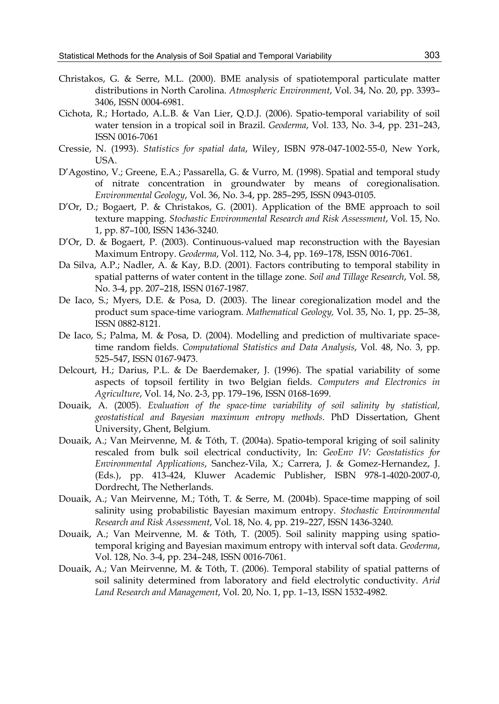- Christakos, G. & Serre, M.L. (2000). BME analysis of spatiotemporal particulate matter distributions in North Carolina. *Atmospheric Environment*, Vol. 34, No. 20, pp. 3393– 3406, ISSN 0004-6981.
- Cichota, R.; Hortado, A.L.B. & Van Lier, Q.D.J. (2006). Spatio-temporal variability of soil water tension in a tropical soil in Brazil. *Geoderma*, Vol. 133, No. 3-4, pp. 231–243, ISSN 0016-7061
- Cressie, N. (1993). *Statistics for spatial data*, Wiley, ISBN 978-047-1002-55-0, New York, USA.
- D'Agostino, V.; Greene, E.A.; Passarella, G. & Vurro, M. (1998). Spatial and temporal study of nitrate concentration in groundwater by means of coregionalisation. *Environmental Geology*, Vol. 36, No. 3-4, pp. 285–295, ISSN 0943-0105.
- D'Or, D.; Bogaert, P. & Christakos, G. (2001). Application of the BME approach to soil texture mapping. *Stochastic Environmental Research and Risk Assessment*, Vol. 15, No. 1, pp. 87–100, ISSN 1436-3240.
- D'Or, D. & Bogaert, P. (2003). Continuous-valued map reconstruction with the Bayesian Maximum Entropy. *Geoderma*, Vol. 112, No. 3-4, pp. 169–178, ISSN 0016-7061.
- Da Silva, A.P.; Nadler, A. & Kay, B.D. (2001). Factors contributing to temporal stability in spatial patterns of water content in the tillage zone. *Soil and Tillage Research*, Vol. 58, No. 3-4, pp. 207–218, ISSN 0167-1987.
- De Iaco, S.; Myers, D.E. & Posa, D. (2003). The linear coregionalization model and the product sum space-time variogram. *Mathematical Geology,* Vol. 35, No. 1, pp. 25–38, ISSN 0882-8121.
- De Iaco, S.; Palma, M. & Posa, D. (2004). Modelling and prediction of multivariate spacetime random fields. *Computational Statistics and Data Analysis*, Vol. 48, No. 3, pp. 525–547, ISSN 0167-9473.
- Delcourt, H.; Darius, P.L. & De Baerdemaker, J. (1996). The spatial variability of some aspects of topsoil fertility in two Belgian fields. *Computers and Electronics in Agriculture*, Vol. 14, No. 2-3, pp. 179–196, ISSN 0168-1699.
- Douaik, A. (2005). *Evaluation of the space-time variability of soil salinity by statistical, geostatistical and Bayesian maximum entropy methods*. PhD Dissertation, Ghent University, Ghent, Belgium.
- Douaik, A.; Van Meirvenne, M. & Tóth, T. (2004a). Spatio-temporal kriging of soil salinity rescaled from bulk soil electrical conductivity, In: *GeoEnv IV: Geostatistics for Environmental Applications*, Sanchez-Vila, X.; Carrera, J. & Gomez-Hernandez, J. (Eds.), pp. 413-424, Kluwer Academic Publisher, ISBN 978-1-4020-2007-0, Dordrecht, The Netherlands.
- Douaik, A.; Van Meirvenne, M.; Tóth, T. & Serre, M. (2004b). Space-time mapping of soil salinity using probabilistic Bayesian maximum entropy. *Stochastic Environmental Research and Risk Assessment*, Vol. 18, No. 4, pp. 219–227, ISSN 1436-3240.
- Douaik, A.; Van Meirvenne, M. & Tóth, T. (2005). Soil salinity mapping using spatiotemporal kriging and Bayesian maximum entropy with interval soft data. *Geoderma*, Vol. 128, No. 3-4, pp. 234–248, ISSN 0016-7061.
- Douaik, A.; Van Meirvenne, M. & Tóth, T. (2006). Temporal stability of spatial patterns of soil salinity determined from laboratory and field electrolytic conductivity. *Arid Land Research and Management*, Vol. 20, No. 1, pp. 1–13, ISSN 1532-4982.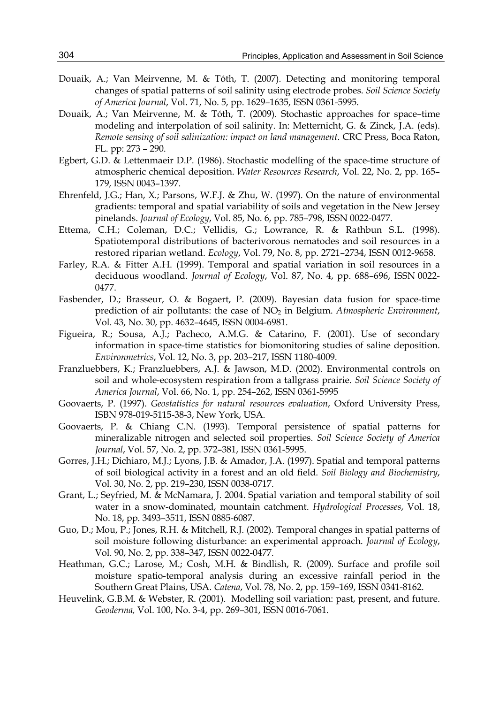- Douaik, A.; Van Meirvenne, M. & Tóth, T. (2007). Detecting and monitoring temporal changes of spatial patterns of soil salinity using electrode probes. *Soil Science Society of America Journal*, Vol. 71, No. 5, pp. 1629–1635, ISSN 0361-5995.
- Douaik, A.; Van Meirvenne, M. & Tóth, T. (2009). Stochastic approaches for space–time modeling and interpolation of soil salinity. In: Metternicht, G. & Zinck, J.A. (eds). *Remote sensing of soil salinization: impact on land management*. CRC Press, Boca Raton, FL. pp: 273 – 290.
- Egbert, G.D. & Lettenmaeir D.P. (1986). Stochastic modelling of the space-time structure of atmospheric chemical deposition. *Water Resources Research*, Vol. 22, No. 2, pp. 165– 179, ISSN 0043–1397.
- Ehrenfeld, J.G.; Han, X.; Parsons, W.F.J. & Zhu, W. (1997). On the nature of environmental gradients: temporal and spatial variability of soils and vegetation in the New Jersey pinelands. *Journal of Ecology*, Vol. 85, No. 6, pp. 785–798, ISSN 0022-0477.
- Ettema, C.H.; Coleman, D.C.; Vellidis, G.; Lowrance, R. & Rathbun S.L. (1998). Spatiotemporal distributions of bacterivorous nematodes and soil resources in a restored riparian wetland. *Ecology*, Vol. 79, No. 8, pp. 2721–2734, ISSN 0012-9658.
- Farley, R.A. & Fitter A.H. (1999). Temporal and spatial variation in soil resources in a deciduous woodland. *Journal of Ecology*, Vol. 87, No. 4, pp. 688–696, ISSN 0022- 0477.
- Fasbender, D.; Brasseur, O. & Bogaert, P. (2009). Bayesian data fusion for space-time prediction of air pollutants: the case of NO<sub>2</sub> in Belgium. Atmospheric Environment, Vol. 43, No. 30, pp. 4632–4645, ISSN 0004-6981.
- Figueira, R.; Sousa, A.J.; Pacheco, A.M.G. & Catarino, F. (2001). Use of secondary information in space-time statistics for biomonitoring studies of saline deposition. *Environmetrics*, Vol. 12, No. 3, pp. 203–217, ISSN 1180-4009.
- Franzluebbers, K.; Franzluebbers, A.J. & Jawson, M.D. (2002). Environmental controls on soil and whole-ecosystem respiration from a tallgrass prairie. *Soil Science Society of America Journal*, Vol. 66, No. 1, pp. 254–262, ISSN 0361-5995
- Goovaerts, P. (1997). *Geostatistics for natural resources evaluation*, Oxford University Press, ISBN 978-019-5115-38-3, New York, USA.
- Goovaerts, P. & Chiang C.N. (1993). Temporal persistence of spatial patterns for mineralizable nitrogen and selected soil properties. *Soil Science Society of America Journal*, Vol. 57, No. 2, pp. 372–381, ISSN 0361-5995.
- Gorres, J.H.; Dichiaro, M.J.; Lyons, J.B. & Amador, J.A. (1997). Spatial and temporal patterns of soil biological activity in a forest and an old field. *Soil Biology and Biochemistry*, Vol. 30, No. 2, pp. 219–230, ISSN 0038-0717.
- Grant, L.; Seyfried, M. & McNamara, J. 2004. Spatial variation and temporal stability of soil water in a snow-dominated, mountain catchment. *Hydrological Processes*, Vol. 18, No. 18, pp. 3493–3511, ISSN 0885-6087.
- Guo, D.; Mou, P.; Jones, R.H. & Mitchell, R.J. (2002). Temporal changes in spatial patterns of soil moisture following disturbance: an experimental approach. *Journal of Ecology*, Vol. 90, No. 2, pp. 338–347, ISSN 0022-0477.
- Heathman, G.C.; Larose, M.; Cosh, M.H. & Bindlish, R. (2009). Surface and profile soil moisture spatio-temporal analysis during an excessive rainfall period in the Southern Great Plains, USA. *Catena*, Vol. 78, No. 2, pp. 159–169, ISSN 0341-8162.
- Heuvelink, G.B.M. & Webster, R. (2001). Modelling soil variation: past, present, and future. *Geoderma,* Vol. 100, No. 3-4, pp. 269–301, ISSN 0016-7061.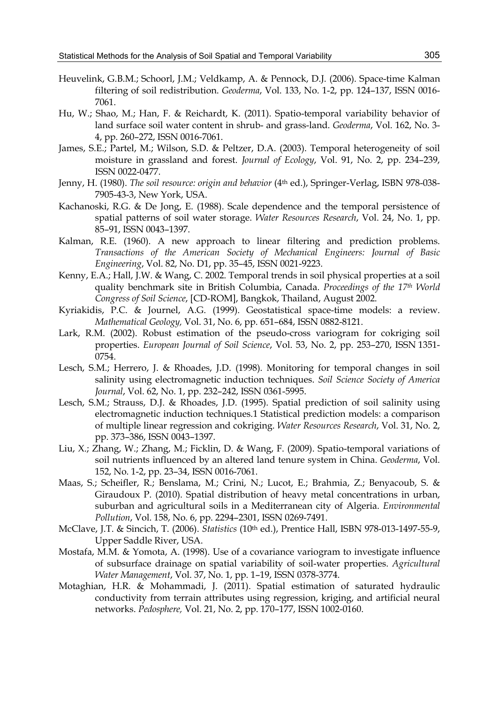- Heuvelink, G.B.M.; Schoorl, J.M.; Veldkamp, A. & Pennock, D.J. (2006). Space-time Kalman filtering of soil redistribution. *Geoderma*, Vol. 133, No. 1-2, pp. 124–137, ISSN 0016- 7061.
- Hu, W.; Shao, M.; Han, F. & Reichardt, K. (2011). Spatio-temporal variability behavior of land surface soil water content in shrub- and grass-land. *Geoderma*, Vol. 162, No. 3- 4, pp. 260–272, ISSN 0016-7061.
- James, S.E.; Partel, M.; Wilson, S.D. & Peltzer, D.A. (2003). Temporal heterogeneity of soil moisture in grassland and forest. *Journal of Ecology*, Vol. 91, No. 2, pp. 234–239, ISSN 0022-0477.
- Jenny, H. (1980). *The soil resource: origin and behavior* (4th ed.), Springer-Verlag, ISBN 978-038- 7905-43-3, New York, USA.
- Kachanoski, R.G. & De Jong, E. (1988). Scale dependence and the temporal persistence of spatial patterns of soil water storage. *Water Resources Research*, Vol. 24, No. 1, pp. 85–91, ISSN 0043–1397.
- Kalman, R.E. (1960). A new approach to linear filtering and prediction problems. *Transactions of the American Society of Mechanical Engineers: Journal of Basic Engineering*, Vol. 82, No. D1, pp. 35–45, ISSN 0021-9223.
- Kenny, E.A.; Hall, J.W. & Wang, C. 2002. Temporal trends in soil physical properties at a soil quality benchmark site in British Columbia, Canada. *Proceedings of the 17th World Congress of Soil Science*, [CD-ROM], Bangkok, Thailand, August 2002.
- Kyriakidis, P.C. & Journel, A.G. (1999). Geostatistical space-time models: a review. *Mathematical Geology,* Vol. 31, No. 6, pp. 651–684, ISSN 0882-8121.
- Lark, R.M. (2002). Robust estimation of the pseudo-cross variogram for cokriging soil properties. *European Journal of Soil Science*, Vol. 53, No. 2, pp. 253–270, ISSN 1351- 0754.
- Lesch, S.M.; Herrero, J. & Rhoades, J.D. (1998). Monitoring for temporal changes in soil salinity using electromagnetic induction techniques. *Soil Science Society of America Journal*, Vol. 62, No. 1, pp. 232–242, ISSN 0361-5995.
- Lesch, S.M.; Strauss, D.J. & Rhoades, J.D. (1995). Spatial prediction of soil salinity using electromagnetic induction techniques.1 Statistical prediction models: a comparison of multiple linear regression and cokriging. *Water Resources Research*, Vol. 31, No. 2, pp. 373–386, ISSN 0043–1397.
- Liu, X.; Zhang, W.; Zhang, M.; Ficklin, D. & Wang, F. (2009). Spatio-temporal variations of soil nutrients influenced by an altered land tenure system in China. *Geoderma*, Vol. 152, No. 1-2, pp. 23–34, ISSN 0016-7061.
- Maas, S.; Scheifler, R.; Benslama, M.; Crini, N.; Lucot, E.; Brahmia, Z.; Benyacoub, S. & Giraudoux P. (2010). Spatial distribution of heavy metal concentrations in urban, suburban and agricultural soils in a Mediterranean city of Algeria. *Environmental Pollution*, Vol. 158, No. 6, pp. 2294–2301, ISSN 0269-7491.
- McClave, J.T. & Sincich, T. (2006). *Statistics* (10th ed.), Prentice Hall, ISBN 978-013-1497-55-9, Upper Saddle River, USA.
- Mostafa, M.M. & Yomota, A. (1998). Use of a covariance variogram to investigate influence of subsurface drainage on spatial variability of soil-water properties. *Agricultural Water Management*, Vol. 37, No. 1, pp. 1–19, ISSN 0378-3774.
- Motaghian, H.R. & Mohammadi, J. (2011). Spatial estimation of saturated hydraulic conductivity from terrain attributes using regression, kriging, and artificial neural networks. *Pedosphere,* Vol. 21, No. 2, pp. 170–177, ISSN 1002-0160.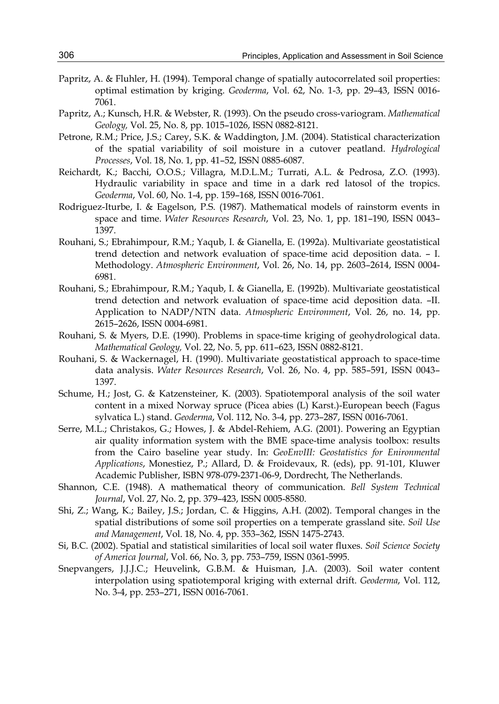- Papritz, A. & Fluhler, H. (1994). Temporal change of spatially autocorrelated soil properties: optimal estimation by kriging. *Geoderma*, Vol. 62, No. 1-3, pp. 29–43, ISSN 0016- 7061.
- Papritz, A.; Kunsch, H.R. & Webster, R. (1993). On the pseudo cross-variogram. *Mathematical Geology,* Vol. 25, No. 8, pp. 1015–1026, ISSN 0882-8121.
- Petrone, R.M.; Price, J.S.; Carey, S.K. & Waddington, J.M. (2004). Statistical characterization of the spatial variability of soil moisture in a cutover peatland. *Hydrological Processes*, Vol. 18, No. 1, pp. 41–52, ISSN 0885-6087.
- Reichardt, K.; Bacchi, O.O.S.; Villagra, M.D.L.M.; Turrati, A.L. & Pedrosa, Z.O. (1993). Hydraulic variability in space and time in a dark red latosol of the tropics. *Geoderma*, Vol. 60, No. 1-4, pp. 159–168, ISSN 0016-7061.
- Rodriguez-Iturbe, I. & Eagelson, P.S. (1987). Mathematical models of rainstorm events in space and time. *Water Resources Research*, Vol. 23, No. 1, pp. 181–190, ISSN 0043– 1397.
- Rouhani, S.; Ebrahimpour, R.M.; Yaqub, I. & Gianella, E. (1992a). Multivariate geostatistical trend detection and network evaluation of space-time acid deposition data. – I. Methodology. *Atmospheric Environment*, Vol. 26, No. 14, pp. 2603–2614, ISSN 0004- 6981.
- Rouhani, S.; Ebrahimpour, R.M.; Yaqub, I. & Gianella, E. (1992b). Multivariate geostatistical trend detection and network evaluation of space-time acid deposition data. –II. Application to NADP/NTN data. *Atmospheric Environment*, Vol. 26, no. 14, pp. 2615–2626, ISSN 0004-6981.
- Rouhani, S. & Myers, D.E. (1990). Problems in space-time kriging of geohydrological data. *Mathematical Geology,* Vol. 22, No. 5, pp. 611–623, ISSN 0882-8121.
- Rouhani, S. & Wackernagel, H. (1990). Multivariate geostatistical approach to space-time data analysis. *Water Resources Research*, Vol. 26, No. 4, pp. 585–591, ISSN 0043– 1397.
- Schume, H.; Jost, G. & Katzensteiner, K. (2003). Spatiotemporal analysis of the soil water content in a mixed Norway spruce (Picea abies (L) Karst.)-European beech (Fagus sylvatica L.) stand. *Geoderma*, Vol. 112, No. 3-4, pp. 273–287, ISSN 0016-7061.
- Serre, M.L.; Christakos, G.; Howes, J. & Abdel-Rehiem, A.G. (2001). Powering an Egyptian air quality information system with the BME space-time analysis toolbox: results from the Cairo baseline year study. In: *GeoEnvIII: Geostatistics for Enironmental Applications*, Monestiez, P.; Allard, D. & Froidevaux, R. (eds), pp. 91-101, Kluwer Academic Publisher, ISBN 978-079-2371-06-9, Dordrecht, The Netherlands.
- Shannon, C.E. (1948). A mathematical theory of communication. *Bell System Technical Journal*, Vol. 27, No. 2, pp. 379–423, ISSN 0005-8580.
- Shi, Z.; Wang, K.; Bailey, J.S.; Jordan, C. & Higgins, A.H. (2002). Temporal changes in the spatial distributions of some soil properties on a temperate grassland site. *Soil Use and Management*, Vol. 18, No. 4, pp. 353–362, ISSN 1475-2743.
- Si, B.C. (2002). Spatial and statistical similarities of local soil water fluxes. *Soil Science Society of America Journal*, Vol. 66, No. 3, pp. 753–759, ISSN 0361-5995.
- Snepvangers, J.J.J.C.; Heuvelink, G.B.M. & Huisman, J.A. (2003). Soil water content interpolation using spatiotemporal kriging with external drift. *Geoderma*, Vol. 112, No. 3-4, pp. 253–271, ISSN 0016-7061.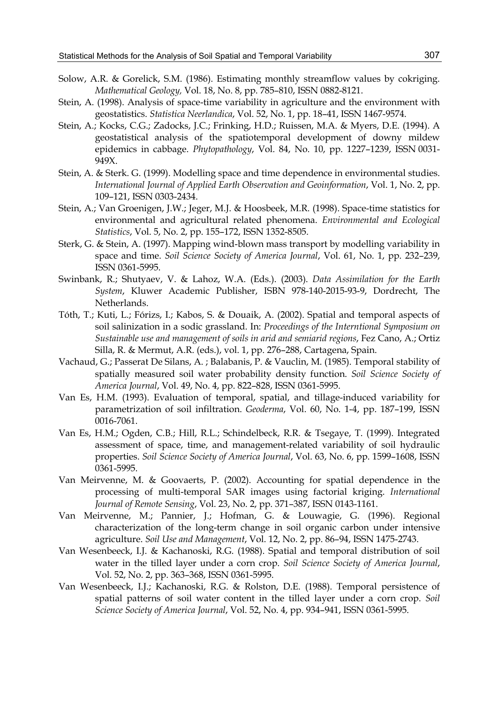- Solow, A.R. & Gorelick, S.M. (1986). Estimating monthly streamflow values by cokriging. *Mathematical Geology,* Vol. 18, No. 8, pp. 785–810, ISSN 0882-8121.
- Stein, A. (1998). Analysis of space-time variability in agriculture and the environment with geostatistics. *Statistica Neerlandica*, Vol. 52, No. 1, pp. 18–41, ISSN 1467-9574.
- Stein, A.; Kocks, C.G.; Zadocks, J.C.; Frinking, H.D.; Ruissen, M.A. & Myers, D.E. (1994). A geostatistical analysis of the spatiotemporal development of downy mildew epidemics in cabbage. *Phytopathology*, Vol. 84, No. 10, pp. 1227–1239, ISSN 0031- 949X.
- Stein, A. & Sterk. G. (1999). Modelling space and time dependence in environmental studies. *International Journal of Applied Earth Observation and Geoinformation*, Vol. 1, No. 2, pp. 109–121, ISSN 0303-2434.
- Stein, A.; Van Groenigen, J.W.; Jeger, M.J. & Hoosbeek, M.R. (1998). Space-time statistics for environmental and agricultural related phenomena. *Environmental and Ecological Statistics*, Vol. 5, No. 2, pp. 155–172, ISSN 1352-8505.
- Sterk, G. & Stein, A. (1997). Mapping wind-blown mass transport by modelling variability in space and time. *Soil Science Society of America Journal*, Vol. 61, No. 1, pp. 232–239, ISSN 0361-5995.
- Swinbank, R.; Shutyaev, V. & Lahoz, W.A. (Eds.). (2003). *Data Assimilation for the Earth System*, Kluwer Academic Publisher, ISBN 978-140-2015-93-9, Dordrecht, The Netherlands.
- Tóth, T.; Kuti, L.; Fórizs, I.; Kabos, S. & Douaik, A. (2002). Spatial and temporal aspects of soil salinization in a sodic grassland. In: *Proceedings of the Interntional Symposium on Sustainable use and management of soils in arid and semiarid regions*, Fez Cano, A.; Ortiz Silla, R. & Mermut, A.R. (eds.), vol. 1, pp. 276–288, Cartagena, Spain.
- Vachaud, G.; Passerat De Silans, A. ; Balabanis, P. & Vauclin, M. (1985). Temporal stability of spatially measured soil water probability density function. *Soil Science Society of America Journal*, Vol. 49, No. 4, pp. 822–828, ISSN 0361-5995.
- Van Es, H.M. (1993). Evaluation of temporal, spatial, and tillage-induced variability for parametrization of soil infiltration. *Geoderma*, Vol. 60, No. 1-4, pp. 187–199, ISSN 0016-7061.
- Van Es, H.M.; Ogden, C.B.; Hill, R.L.; Schindelbeck, R.R. & Tsegaye, T. (1999). Integrated assessment of space, time, and management-related variability of soil hydraulic properties. *Soil Science Society of America Journal*, Vol. 63, No. 6, pp. 1599–1608, ISSN 0361-5995.
- Van Meirvenne, M. & Goovaerts, P. (2002). Accounting for spatial dependence in the processing of multi-temporal SAR images using factorial kriging. *International Journal of Remote Sensing*, Vol. 23, No. 2, pp. 371–387, ISSN 0143-1161.
- Van Meirvenne, M.; Pannier, J.; Hofman, G. & Louwagie, G. (1996). Regional characterization of the long-term change in soil organic carbon under intensive agriculture. *Soil Use and Management*, Vol. 12, No. 2, pp. 86–94, ISSN 1475-2743.
- Van Wesenbeeck, I.J. & Kachanoski, R.G. (1988). Spatial and temporal distribution of soil water in the tilled layer under a corn crop. *Soil Science Society of America Journal*, Vol. 52, No. 2, pp. 363–368, ISSN 0361-5995.
- Van Wesenbeeck, I.J.; Kachanoski, R.G. & Rolston, D.E. (1988). Temporal persistence of spatial patterns of soil water content in the tilled layer under a corn crop. *Soil Science Society of America Journal*, Vol. 52, No. 4, pp. 934–941, ISSN 0361-5995.